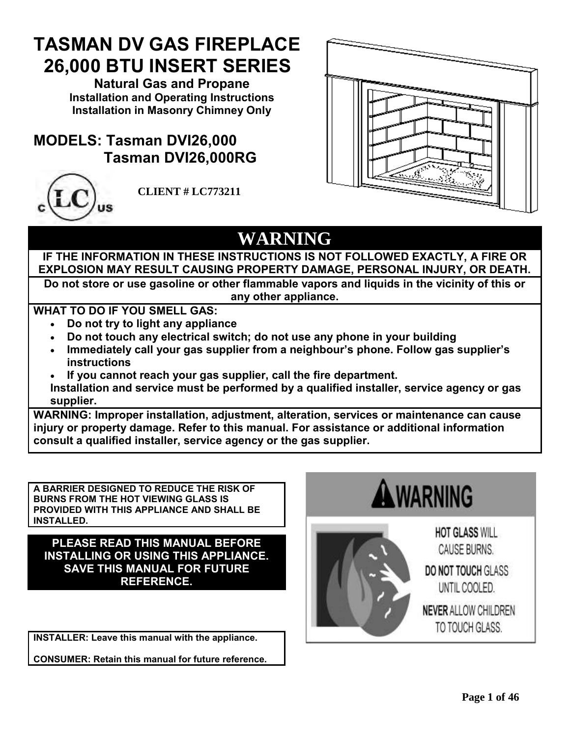# **TASMAN DV GAS FIREPLACE 26,000 BTU INSERT SERIES**

**Natural Gas and Propane Installation and Operating Instructions Installation in Masonry Chimney Only** 

# **MODELS: Tasman DVI26,000 Tasman DVI26,000RG**



**CLIENT # LC773211**



# **WARNING**

**IF THE INFORMATION IN THESE INSTRUCTIONS IS NOT FOLLOWED EXACTLY, A FIRE OR EXPLOSION MAY RESULT CAUSING PROPERTY DAMAGE, PERSONAL INJURY, OR DEATH.**

**Do not store or use gasoline or other flammable vapors and liquids in the vicinity of this or any other appliance.**

**WHAT TO DO IF YOU SMELL GAS:**

- **Do not try to light any appliance**
- **Do not touch any electrical switch; do not use any phone in your building**
- **Immediately call your gas supplier from a neighbour's phone. Follow gas supplier's instructions**
- **If you cannot reach your gas supplier, call the fire department. Installation and service must be performed by a qualified installer, service agency or gas supplier.**

**WARNING: Improper installation, adjustment, alteration, services or maintenance can cause injury or property damage. Refer to this manual. For assistance or additional information consult a qualified installer, service agency or the gas supplier.**

**A BARRIER DESIGNED TO REDUCE THE RISK OF BURNS FROM THE HOT VIEWING GLASS IS PROVIDED WITH THIS APPLIANCE AND SHALL BE INSTALLED.**

**PLEASE READ THIS MANUAL BEFORE INSTALLING OR USING THIS APPLIANCE. SAVE THIS MANUAL FOR FUTURE REFERENCE.**

**INSTALLER: Leave this manual with the appliance.**

**CONSUMER: Retain this manual for future reference.**





**HOT GLASS WILL** CAUSE BURNS. **DO NOT TOUCH GLASS** UNTIL COOLED. NEVER ALLOW CHILDREN TO TOUCH GLASS.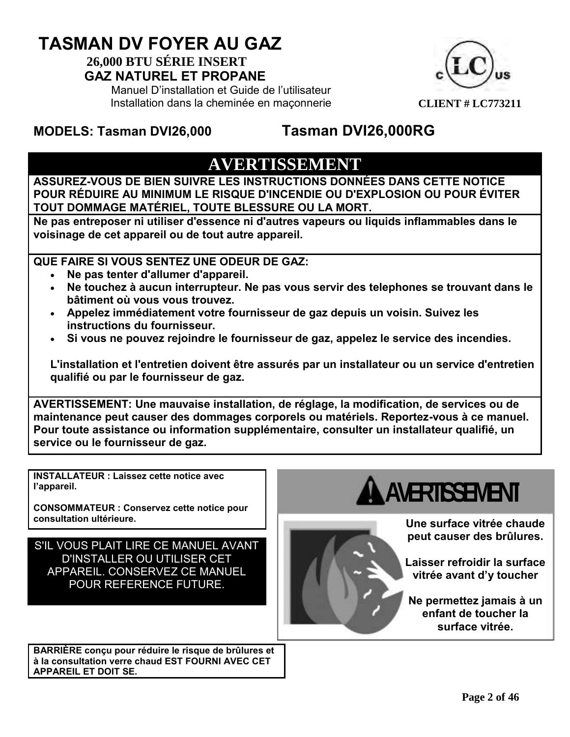# **TASMAN DV FOYER AU GAZ**

#### **26,000 BTU SÉRIE INSERT GAZ NATUREL ET PROPANE**

Manuel D'installation et Guide de l'utilisateur Installation dans la cheminée en maçonnerie



## **MODELS: Tasman DVI26,000 Tasman DVI26,000RG**

# **AVERTISSEMENT**

**ASSUREZ-VOUS DE BIEN SUIVRE LES INSTRUCTIONS DONNÉES DANS CETTE NOTICE POUR RÉDUIRE AU MINIMUM LE RISQUE D'INCENDIE OU D'EXPLOSION OU POUR ÉVITER TOUT DOMMAGE MATÉRIEL, TOUTE BLESSURE OU LA MORT.**

**Ne pas entreposer ni utiliser d'essence ni d'autres vapeurs ou liquids inflammables dans le voisinage de cet appareil ou de tout autre appareil.**

**QUE FAIRE SI VOUS SENTEZ UNE ODEUR DE GAZ:**

- **Ne pas tenter d'allumer d'appareil.**
- **Ne touchez à aucun interrupteur. Ne pas vous servir des telephones se trouvant dans le bâtiment où vous vous trouvez.**
- **Appelez immédiatement votre fournisseur de gaz depuis un voisin. Suivez les instructions du fournisseur.**
- **Si vous ne pouvez rejoindre le fournisseur de gaz, appelez le service des incendies.**

**L'installation et l'entretien doivent être assurés par un installateur ou un service d'entretien qualifié ou par le fournisseur de gaz.**

**AVERTISSEMENT: Une mauvaise installation, de réglage, la modification, de services ou de maintenance peut causer des dommages corporels ou matériels. Reportez-vous à ce manuel. Pour toute assistance ou information supplémentaire, consulter un installateur qualifié, un service ou le fournisseur de gaz.**

**INSTALLATEUR : Laissez cette notice avec l'appareil.**

**CONSOMMATEUR : Conservez cette notice pour consultation ultérieure.**

S'IL VOUS PLAIT LIRE CE MANUEL AVANT D'INSTALLER OU UTILISER CET APPAREIL. CONSERVEZ CE MANUEL POUR REFERENCE FUTURE.

**BARRIÈRE conçu pour réduire le risque de brûlures et à la consultation verre chaud EST FOURNI AVEC CET APPAREIL ET DOIT SE.**

# **AVERTISSEMENT**

**Une surface vitrée chaude peut causer des brûlures.**

**Laisser refroidir la surface vitrée avant d'y toucher**

**Ne permettez jamais à un enfant de toucher la surface vitrée.**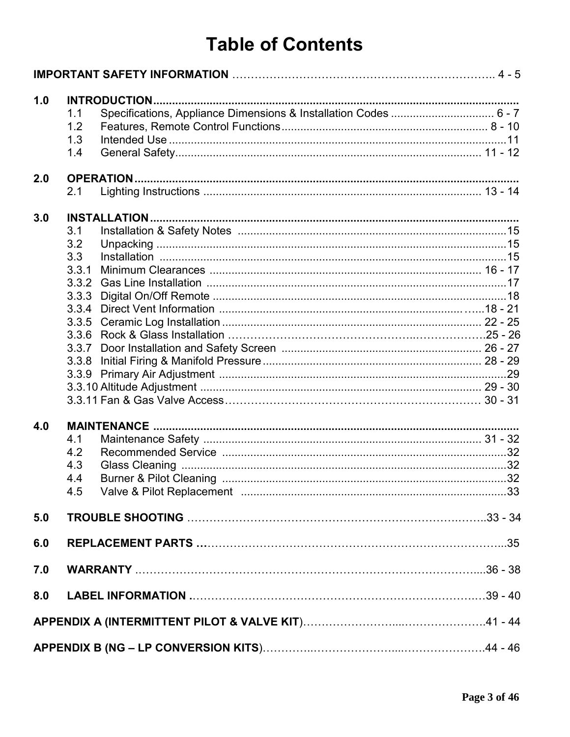# **Table of Contents**

| 1.0 |       |                                                                  |  |
|-----|-------|------------------------------------------------------------------|--|
|     | 1.1   | Specifications, Appliance Dimensions & Installation Codes  6 - 7 |  |
|     | 1.2   |                                                                  |  |
|     | 1.3   |                                                                  |  |
|     | 1.4   |                                                                  |  |
| 2.0 |       |                                                                  |  |
|     | 2.1   |                                                                  |  |
|     |       |                                                                  |  |
| 3.0 |       |                                                                  |  |
|     | 3.1   |                                                                  |  |
|     | 3.2   |                                                                  |  |
|     | 3.3   |                                                                  |  |
|     | 3.3.1 |                                                                  |  |
|     | 3.3.2 |                                                                  |  |
|     | 3.3.3 |                                                                  |  |
|     | 3.3.4 |                                                                  |  |
|     | 3.3.5 |                                                                  |  |
|     |       |                                                                  |  |
|     |       |                                                                  |  |
|     |       |                                                                  |  |
|     |       |                                                                  |  |
|     |       |                                                                  |  |
|     |       |                                                                  |  |
| 4.0 |       |                                                                  |  |
|     | 4.1   |                                                                  |  |
|     | 4.2   |                                                                  |  |
|     | 4.3   |                                                                  |  |
|     | 4.4   |                                                                  |  |
|     |       |                                                                  |  |
|     |       |                                                                  |  |
| 5.0 |       |                                                                  |  |
| 6.0 |       |                                                                  |  |
| 7.0 |       |                                                                  |  |
|     |       |                                                                  |  |
| 8.0 |       |                                                                  |  |
|     |       |                                                                  |  |
|     |       |                                                                  |  |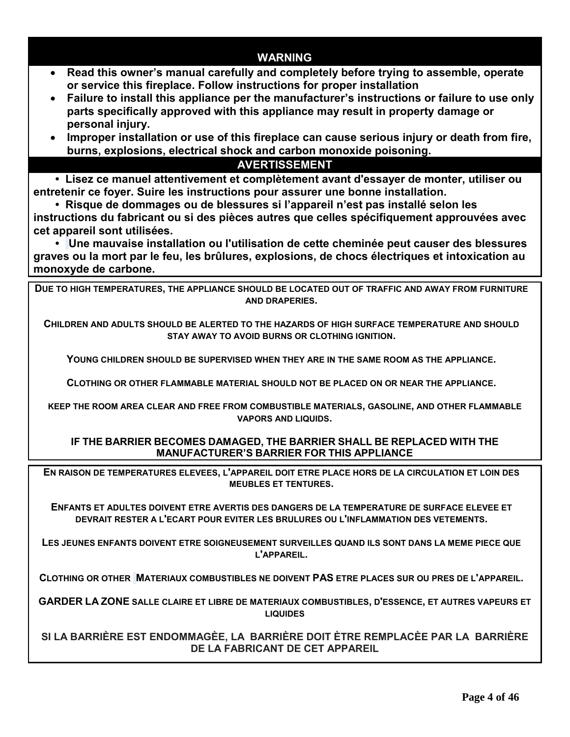**WARNING Read this owner's manual carefully and completely before trying to assemble, operate or service this fireplace. Follow instructions for proper installation Failure to install this appliance per the manufacturer's instructions or failure to use only parts specifically approved with this appliance may result in property damage or personal injury. Improper installation or use of this fireplace can cause serious injury or death from fire, burns, explosions, electrical shock and carbon monoxide poisoning. AVERTISSEMENT • Lisez ce manuel attentivement et complètement avant d'essayer de monter, utiliser ou entretenir ce foyer. Suire les instructions pour assurer une bonne installation. • Risque de dommages ou de blessures si l'appareil n'est pas installé selon les instructions du fabricant ou si des pièces autres que celles spécifiquement approuvées avec cet appareil sont utilisées. • Une mauvaise installation ou l'utilisation de cette cheminée peut causer des blessures graves ou la mort par le feu, les brûlures, explosions, de chocs électriques et intoxication au monoxyde de carbone. DUE TO HIGH TEMPERATURES, THE APPLIANCE SHOULD BE LOCATED OUT OF TRAFFIC AND AWAY FROM FURNITURE AND DRAPERIES. CHILDREN AND ADULTS SHOULD BE ALERTED TO THE HAZARDS OF HIGH SURFACE TEMPERATURE AND SHOULD STAY AWAY TO AVOID BURNS OR CLOTHING IGNITION. YOUNG CHILDREN SHOULD BE SUPERVISED WHEN THEY ARE IN THE SAME ROOM AS THE APPLIANCE. CLOTHING OR OTHER FLAMMABLE MATERIAL SHOULD NOT BE PLACED ON OR NEAR THE APPLIANCE. KEEP THE ROOM AREA CLEAR AND FREE FROM COMBUSTIBLE MATERIALS, GASOLINE, AND OTHER FLAMMABLE VAPORS AND LIQUIDS. IF THE BARRIER BECOMES DAMAGED, THE BARRIER SHALL BE REPLACED WITH THE MANUFACTURER'S BARRIER FOR THIS APPLIANCE EN RAISON DE TEMPERATURES ELEVEES, L'APPAREIL DOIT ETRE PLACE HORS DE LA CIRCULATION ET LOIN DES MEUBLES ET TENTURES. ENFANTS ET ADULTES DOIVENT ETRE AVERTIS DES DANGERS DE LA TEMPERATURE DE SURFACE ELEVEE ET DEVRAIT RESTER A L'ECART POUR EVITER LES BRULURES OU L'INFLAMMATION DES VETEMENTS. LES JEUNES ENFANTS DOIVENT ETRE SOIGNEUSEMENT SURVEILLES QUAND ILS SONT DANS LA MEME PIECE QUE L'APPAREIL. CLOTHING OR OTHER MATERIAUX COMBUSTIBLES NE DOIVENT PAS ETRE PLACES SUR OU PRES DE L'APPAREIL.**

**GARDER LA ZONE SALLE CLAIRE ET LIBRE DE MATERIAUX COMBUSTIBLES, D'ESSENCE, ET AUTRES VAPEURS ET LIQUIDES**

**SI LA BARRIÈRE EST ENDOMMAGÈE, LA BARRIÈRE DOIT ÈTRE REMPLACÈE PAR LA BARRIÈRE DE LA FABRICANT DE CET APPAREIL**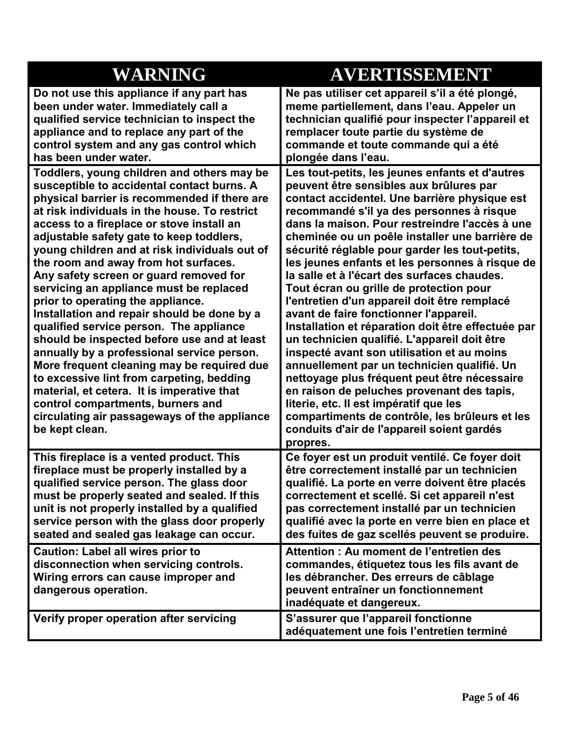| <b>WARNING</b>                                                                                                                                                                                                                                                                                                                                                                                                                                                                                                                                                                                                                                                                                                                                                                                                                                                                                                                               | AVERTISSEMENT                                                                                                                                                                                                                                                                                                                                                                                                                                                                                                                                                                                                                                                                                                                                                                                                                                                                                                                                                                                                                                |
|----------------------------------------------------------------------------------------------------------------------------------------------------------------------------------------------------------------------------------------------------------------------------------------------------------------------------------------------------------------------------------------------------------------------------------------------------------------------------------------------------------------------------------------------------------------------------------------------------------------------------------------------------------------------------------------------------------------------------------------------------------------------------------------------------------------------------------------------------------------------------------------------------------------------------------------------|----------------------------------------------------------------------------------------------------------------------------------------------------------------------------------------------------------------------------------------------------------------------------------------------------------------------------------------------------------------------------------------------------------------------------------------------------------------------------------------------------------------------------------------------------------------------------------------------------------------------------------------------------------------------------------------------------------------------------------------------------------------------------------------------------------------------------------------------------------------------------------------------------------------------------------------------------------------------------------------------------------------------------------------------|
| Do not use this appliance if any part has<br>been under water. Immediately call a<br>qualified service technician to inspect the<br>appliance and to replace any part of the<br>control system and any gas control which<br>has been under water.                                                                                                                                                                                                                                                                                                                                                                                                                                                                                                                                                                                                                                                                                            | Ne pas utiliser cet appareil s'il a été plongé,<br>meme partiellement, dans l'eau. Appeler un<br>technician qualifié pour inspecter l'appareil et<br>remplacer toute partie du système de<br>commande et toute commande qui a été<br>plongée dans l'eau.                                                                                                                                                                                                                                                                                                                                                                                                                                                                                                                                                                                                                                                                                                                                                                                     |
| Toddlers, young children and others may be<br>susceptible to accidental contact burns. A<br>physical barrier is recommended if there are<br>at risk individuals in the house. To restrict<br>access to a fireplace or stove install an<br>adjustable safety gate to keep toddlers,<br>young children and at risk individuals out of<br>the room and away from hot surfaces.<br>Any safety screen or guard removed for<br>servicing an appliance must be replaced<br>prior to operating the appliance.<br>Installation and repair should be done by a<br>qualified service person. The appliance<br>should be inspected before use and at least<br>annually by a professional service person.<br>More frequent cleaning may be required due<br>to excessive lint from carpeting, bedding<br>material, et cetera. It is imperative that<br>control compartments, burners and<br>circulating air passageways of the appliance<br>be kept clean. | Les tout-petits, les jeunes enfants et d'autres<br>peuvent être sensibles aux brûlures par<br>contact accidentel. Une barrière physique est<br>recommandé s'il ya des personnes à risque<br>dans la maison. Pour restreindre l'accès à une<br>cheminée ou un poêle installer une barrière de<br>sécurité réglable pour garder les tout-petits,<br>les jeunes enfants et les personnes à risque de<br>la salle et à l'écart des surfaces chaudes.<br>Tout écran ou grille de protection pour<br>l'entretien d'un appareil doit être remplacé<br>avant de faire fonctionner l'appareil.<br>Installation et réparation doit être effectuée par<br>un technicien qualifié. L'appareil doit être<br>inspecté avant son utilisation et au moins<br>annuellement par un technicien qualifié. Un<br>nettoyage plus fréquent peut être nécessaire<br>en raison de peluches provenant des tapis,<br>literie, etc. Il est impératif que les<br>compartiments de contrôle, les brûleurs et les<br>conduits d'air de l'appareil soient gardés<br>propres. |
| This fireplace is a vented product. This<br>fireplace must be properly installed by a<br>qualified service person. The glass door<br>must be properly seated and sealed. If this<br>unit is not properly installed by a qualified<br>service person with the glass door properly<br>seated and sealed gas leakage can occur.<br><b>Caution: Label all wires prior to</b>                                                                                                                                                                                                                                                                                                                                                                                                                                                                                                                                                                     | Ce foyer est un produit ventilé. Ce foyer doit<br>être correctement installé par un technicien<br>qualifié. La porte en verre doivent être placés<br>correctement et scellé. Si cet appareil n'est<br>pas correctement installé par un technicien<br>qualifié avec la porte en verre bien en place et<br>des fuites de gaz scellés peuvent se produire.<br>Attention: Au moment de l'entretien des                                                                                                                                                                                                                                                                                                                                                                                                                                                                                                                                                                                                                                           |
| disconnection when servicing controls.<br>Wiring errors can cause improper and<br>dangerous operation.                                                                                                                                                                                                                                                                                                                                                                                                                                                                                                                                                                                                                                                                                                                                                                                                                                       | commandes, étiquetez tous les fils avant de<br>les débrancher. Des erreurs de câblage<br>peuvent entraîner un fonctionnement<br>inadéquate et dangereux.                                                                                                                                                                                                                                                                                                                                                                                                                                                                                                                                                                                                                                                                                                                                                                                                                                                                                     |
| Verify proper operation after servicing                                                                                                                                                                                                                                                                                                                                                                                                                                                                                                                                                                                                                                                                                                                                                                                                                                                                                                      | S'assurer que l'appareil fonctionne<br>adéquatement une fois l'entretien terminé                                                                                                                                                                                                                                                                                                                                                                                                                                                                                                                                                                                                                                                                                                                                                                                                                                                                                                                                                             |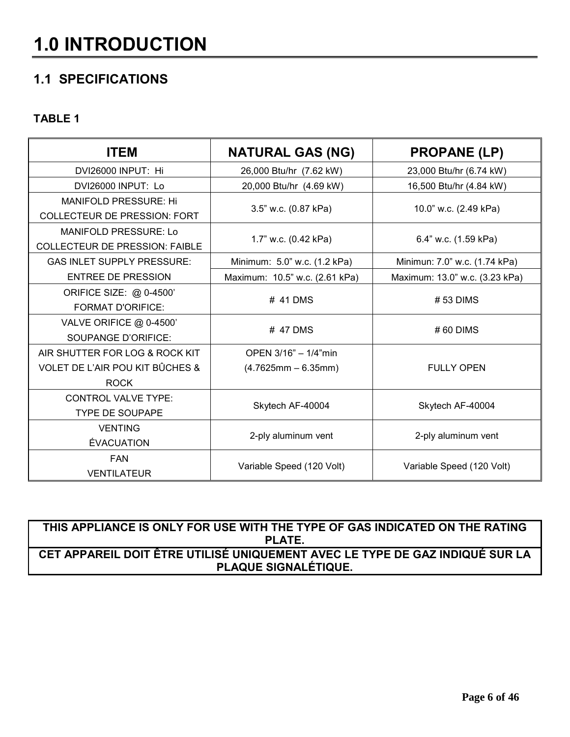# **1.0 INTRODUCTION**

## **1.1 SPECIFICATIONS**

#### **TABLE 1**

| <b>ITEM</b>                                                           | <b>NATURAL GAS (NG)</b>        | <b>PROPANE (LP)</b>            |
|-----------------------------------------------------------------------|--------------------------------|--------------------------------|
| DVI26000 INPUT: Hi                                                    | 26,000 Btu/hr (7.62 kW)        | 23,000 Btu/hr (6.74 kW)        |
| DVI26000 INPUT: Lo                                                    | 20,000 Btu/hr (4.69 kW)        | 16,500 Btu/hr (4.84 kW)        |
| <b>MANIFOLD PRESSURE: Hi</b><br><b>COLLECTEUR DE PRESSION: FORT</b>   | 3.5" w.c. (0.87 kPa)           | 10.0" w.c. (2.49 kPa)          |
| <b>MANIFOLD PRESSURE: Lo</b><br><b>COLLECTEUR DE PRESSION: FAIBLE</b> | 1.7" w.c. (0.42 kPa)           | 6.4" w.c. (1.59 kPa)           |
| <b>GAS INLET SUPPLY PRESSURE:</b>                                     | Minimum: 5.0" w.c. (1.2 kPa)   | Minimun: 7.0" w.c. (1.74 kPa)  |
| <b>ENTREE DE PRESSION</b>                                             | Maximum: 10.5" w.c. (2.61 kPa) | Maximum: 13.0" w.c. (3.23 kPa) |
| ORIFICE SIZE: @ 0-4500'<br><b>FORMAT D'ORIFICE:</b>                   | # 41 DMS                       | $# 53$ DIMS                    |
| VALVE ORIFICE @ 0-4500'<br><b>SOUPANGE D'ORIFICE:</b>                 | # 47 DMS                       | $#60$ DIMS                     |
| AIR SHUTTER FOR LOG & ROCK KIT                                        | OPEN 3/16" - 1/4"min           |                                |
| VOLET DE L'AIR POU KIT BÛCHES &<br><b>ROCK</b>                        | $(4.7625mm - 6.35mm)$          | <b>FULLY OPEN</b>              |
| <b>CONTROL VALVE TYPE:</b><br><b>TYPE DE SOUPAPE</b>                  | Skytech AF-40004               | Skytech AF-40004               |
| <b>VENTING</b><br><b>ÉVACUATION</b>                                   | 2-ply aluminum vent            | 2-ply aluminum vent            |
| <b>FAN</b><br><b>VENTILATEUR</b>                                      | Variable Speed (120 Volt)      | Variable Speed (120 Volt)      |

**THIS APPLIANCE IS ONLY FOR USE WITH THE TYPE OF GAS INDICATED ON THE RATING PLATE. CET APPAREIL DOIT ÊTRE UTILISÉ UNIQUEMENT AVEC LE TYPE DE GAZ INDIQUÉ SUR LA PLAQUE SIGNALÉTIQUE.**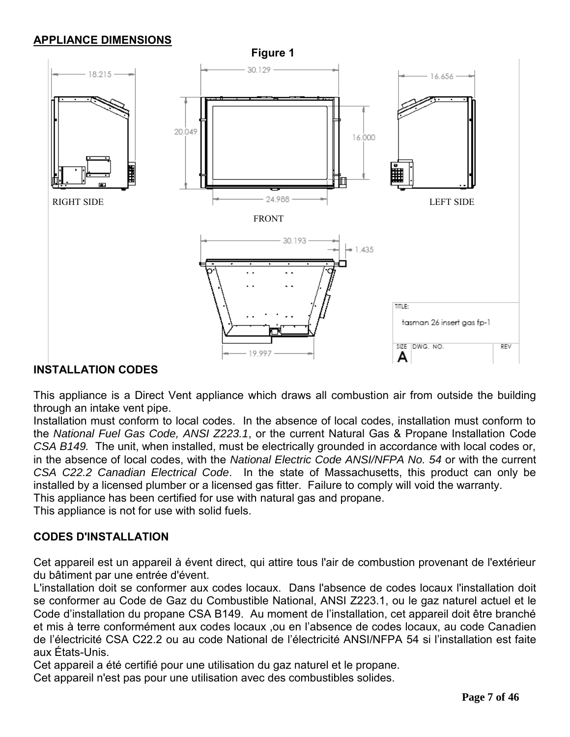#### **APPLIANCE DIMENSIONS**



#### **INSTALLATION CODES**

This appliance is a Direct Vent appliance which draws all combustion air from outside the building through an intake vent pipe.

Installation must conform to local codes. In the absence of local codes, installation must conform to the *National Fuel Gas Code, ANSI Z223.1*, or the current Natural Gas & Propane Installation Code *CSA B149.* The unit, when installed, must be electrically grounded in accordance with local codes or, in the absence of local codes, with the *National Electric Code ANSI/NFPA No. 54* or with the current *CSA C22.2 Canadian Electrical Code*. In the state of Massachusetts, this product can only be installed by a licensed plumber or a licensed gas fitter. Failure to comply will void the warranty. This appliance has been certified for use with natural gas and propane.

This appliance is not for use with solid fuels.

#### **CODES D'INSTALLATION**

Cet appareil est un appareil à évent direct, qui attire tous l'air de combustion provenant de l'extérieur du bâtiment par une entrée d'évent.

L'installation doit se conformer aux codes locaux. Dans l'absence de codes locaux l'installation doit se conformer au Code de Gaz du Combustible National, ANSI Z223.1, ou le gaz naturel actuel et le Code d'installation du propane CSA B149. Au moment de l'installation, cet appareil doit être branché et mis à terre conformément aux codes locaux ,ou en l'absence de codes locaux, au code Canadien de l'électricité CSA C22.2 ou au code National de l'électricité ANSI/NFPA 54 si l'installation est faite aux États-Unis.

Cet appareil a été certifié pour une utilisation du gaz naturel et le propane.

Cet appareil n'est pas pour une utilisation avec des combustibles solides.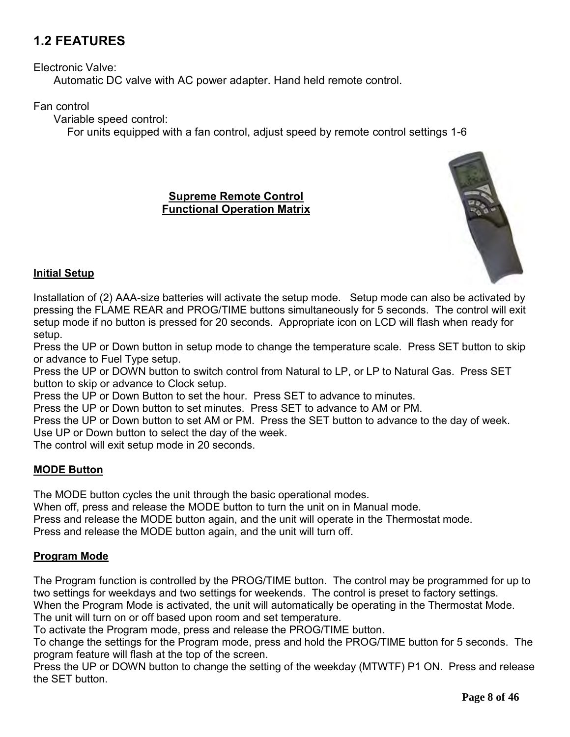## **1.2 FEATURES**

Electronic Valve:

Automatic DC valve with AC power adapter. Hand held remote control.

Fan control

Variable speed control:

For units equipped with a fan control, adjust speed by remote control settings 1-6

#### **Supreme Remote Control Functional Operation Matrix**



#### **Initial Setup**

Installation of (2) AAA-size batteries will activate the setup mode. Setup mode can also be activated by pressing the FLAME REAR and PROG/TIME buttons simultaneously for 5 seconds. The control will exit setup mode if no button is pressed for 20 seconds. Appropriate icon on LCD will flash when ready for setup.

Press the UP or Down button in setup mode to change the temperature scale. Press SET button to skip or advance to Fuel Type setup.

Press the UP or DOWN button to switch control from Natural to LP, or LP to Natural Gas. Press SET button to skip or advance to Clock setup.

Press the UP or Down Button to set the hour. Press SET to advance to minutes.

Press the UP or Down button to set minutes. Press SET to advance to AM or PM.

Press the UP or Down button to set AM or PM. Press the SET button to advance to the day of week. Use UP or Down button to select the day of the week.

The control will exit setup mode in 20 seconds.

#### **MODE Button**

The MODE button cycles the unit through the basic operational modes.

When off, press and release the MODE button to turn the unit on in Manual mode.

Press and release the MODE button again, and the unit will operate in the Thermostat mode.

Press and release the MODE button again, and the unit will turn off.

#### **Program Mode**

The Program function is controlled by the PROG/TIME button. The control may be programmed for up to two settings for weekdays and two settings for weekends. The control is preset to factory settings.

When the Program Mode is activated, the unit will automatically be operating in the Thermostat Mode. The unit will turn on or off based upon room and set temperature.

To activate the Program mode, press and release the PROG/TIME button.

To change the settings for the Program mode, press and hold the PROG/TIME button for 5 seconds. The program feature will flash at the top of the screen.

Press the UP or DOWN button to change the setting of the weekday (MTWTF) P1 ON. Press and release the SET button.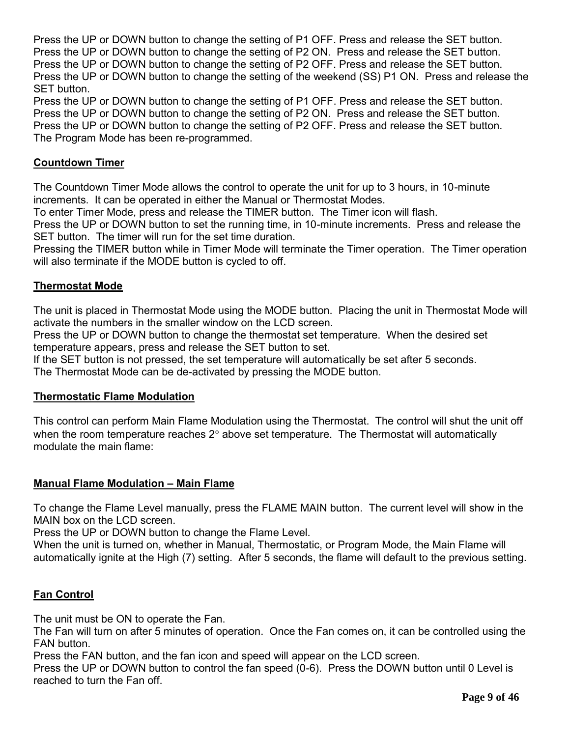Press the UP or DOWN button to change the setting of P1 OFF. Press and release the SET button. Press the UP or DOWN button to change the setting of P2 ON. Press and release the SET button. Press the UP or DOWN button to change the setting of P2 OFF. Press and release the SET button. Press the UP or DOWN button to change the setting of the weekend (SS) P1 ON. Press and release the SET button.

Press the UP or DOWN button to change the setting of P1 OFF. Press and release the SET button. Press the UP or DOWN button to change the setting of P2 ON. Press and release the SET button. Press the UP or DOWN button to change the setting of P2 OFF. Press and release the SET button. The Program Mode has been re-programmed.

#### **Countdown Timer**

The Countdown Timer Mode allows the control to operate the unit for up to 3 hours, in 10-minute increments. It can be operated in either the Manual or Thermostat Modes.

To enter Timer Mode, press and release the TIMER button. The Timer icon will flash.

Press the UP or DOWN button to set the running time, in 10-minute increments. Press and release the SET button. The timer will run for the set time duration.

Pressing the TIMER button while in Timer Mode will terminate the Timer operation. The Timer operation will also terminate if the MODE button is cycled to off.

#### **Thermostat Mode**

The unit is placed in Thermostat Mode using the MODE button. Placing the unit in Thermostat Mode will activate the numbers in the smaller window on the LCD screen.

Press the UP or DOWN button to change the thermostat set temperature. When the desired set temperature appears, press and release the SET button to set.

If the SET button is not pressed, the set temperature will automatically be set after 5 seconds. The Thermostat Mode can be de-activated by pressing the MODE button.

#### **Thermostatic Flame Modulation**

This control can perform Main Flame Modulation using the Thermostat. The control will shut the unit off when the room temperature reaches  $2^{\circ}$  above set temperature. The Thermostat will automatically modulate the main flame:

#### **Manual Flame Modulation – Main Flame**

To change the Flame Level manually, press the FLAME MAIN button. The current level will show in the MAIN box on the LCD screen.

Press the UP or DOWN button to change the Flame Level.

When the unit is turned on, whether in Manual, Thermostatic, or Program Mode, the Main Flame will automatically ignite at the High (7) setting. After 5 seconds, the flame will default to the previous setting.

#### **Fan Control**

The unit must be ON to operate the Fan.

The Fan will turn on after 5 minutes of operation. Once the Fan comes on, it can be controlled using the FAN button.

Press the FAN button, and the fan icon and speed will appear on the LCD screen.

Press the UP or DOWN button to control the fan speed (0-6). Press the DOWN button until 0 Level is reached to turn the Fan off.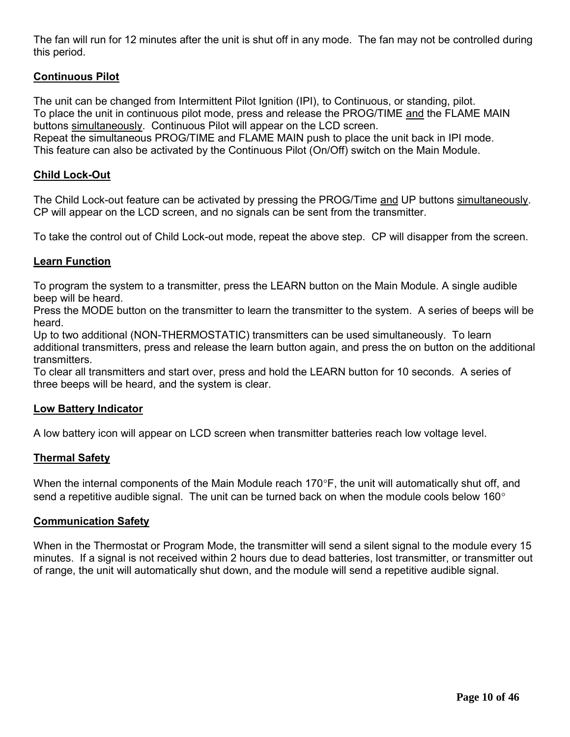The fan will run for 12 minutes after the unit is shut off in any mode. The fan may not be controlled during this period.

#### **Continuous Pilot**

The unit can be changed from Intermittent Pilot Ignition (IPI), to Continuous, or standing, pilot. To place the unit in continuous pilot mode, press and release the PROG/TIME and the FLAME MAIN buttons simultaneously. Continuous Pilot will appear on the LCD screen.

Repeat the simultaneous PROG/TIME and FLAME MAIN push to place the unit back in IPI mode. This feature can also be activated by the Continuous Pilot (On/Off) switch on the Main Module.

#### **Child Lock-Out**

The Child Lock-out feature can be activated by pressing the PROG/Time and UP buttons simultaneously. CP will appear on the LCD screen, and no signals can be sent from the transmitter.

To take the control out of Child Lock-out mode, repeat the above step. CP will disapper from the screen.

#### **Learn Function**

To program the system to a transmitter, press the LEARN button on the Main Module. A single audible beep will be heard.

Press the MODE button on the transmitter to learn the transmitter to the system. A series of beeps will be heard.

Up to two additional (NON-THERMOSTATIC) transmitters can be used simultaneously. To learn additional transmitters, press and release the learn button again, and press the on button on the additional transmitters.

To clear all transmitters and start over, press and hold the LEARN button for 10 seconds. A series of three beeps will be heard, and the system is clear.

#### **Low Battery Indicator**

A low battery icon will appear on LCD screen when transmitter batteries reach low voltage level.

#### **Thermal Safety**

When the internal components of the Main Module reach 170 $\degree$ F, the unit will automatically shut off, and send a repetitive audible signal. The unit can be turned back on when the module cools below 160 $^{\circ}$ 

#### **Communication Safety**

When in the Thermostat or Program Mode, the transmitter will send a silent signal to the module every 15 minutes. If a signal is not received within 2 hours due to dead batteries, lost transmitter, or transmitter out of range, the unit will automatically shut down, and the module will send a repetitive audible signal.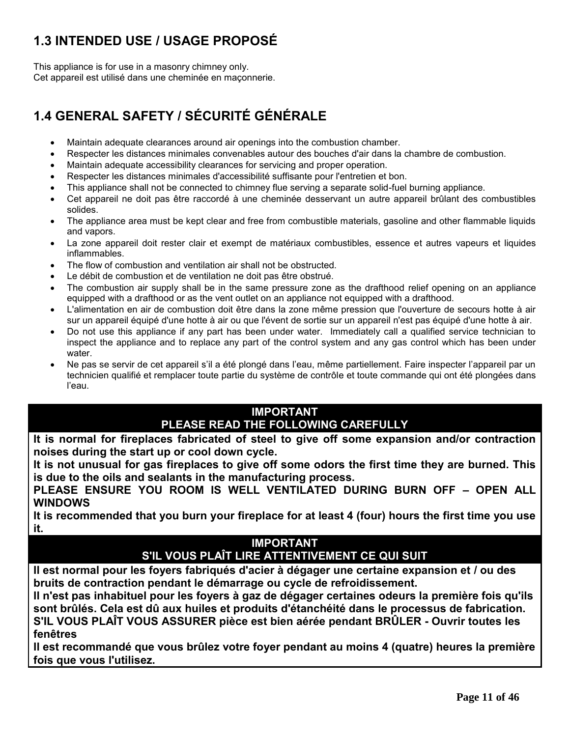# **1.3 INTENDED USE / USAGE PROPOSÉ**

This appliance is for use in a masonry chimney only. Cet appareil est utilisé dans une cheminée en maçonnerie.

# **1.4 GENERAL SAFETY / SÉCURITÉ GÉNÉRALE**

- Maintain adequate clearances around air openings into the combustion chamber.
- Respecter les distances minimales convenables autour des bouches d'air dans la chambre de combustion.
- Maintain adequate accessibility clearances for servicing and proper operation.
- Respecter les distances minimales d'accessibilité suffisante pour l'entretien et bon.
- This appliance shall not be connected to chimney flue serving a separate solid-fuel burning appliance.
- Cet appareil ne doit pas être raccordé à une cheminée desservant un autre appareil brûlant des combustibles solides.
- The appliance area must be kept clear and free from combustible materials, gasoline and other flammable liquids and vapors.
- La zone appareil doit rester clair et exempt de matériaux combustibles, essence et autres vapeurs et liquides inflammables.
- The flow of combustion and ventilation air shall not be obstructed.
- Le débit de combustion et de ventilation ne doit pas être obstrué.
- The combustion air supply shall be in the same pressure zone as the drafthood relief opening on an appliance equipped with a drafthood or as the vent outlet on an appliance not equipped with a drafthood.
- L'alimentation en air de combustion doit être dans la zone même pression que l'ouverture de secours hotte à air sur un appareil équipé d'une hotte à air ou que l'évent de sortie sur un appareil n'est pas équipé d'une hotte à air.
- Do not use this appliance if any part has been under water. Immediately call a qualified service technician to inspect the appliance and to replace any part of the control system and any gas control which has been under water.
- Ne pas se servir de cet appareil s'il a été plongé dans l'eau, même partiellement. Faire inspecter l'appareil par un technicien qualifié et remplacer toute partie du système de contrôle et toute commande qui ont été plongées dans l'eau.

#### **IMPORTANT PLEASE READ THE FOLLOWING CAREFULLY**

**It is normal for fireplaces fabricated of steel to give off some expansion and/or contraction noises during the start up or cool down cycle.** 

**It is not unusual for gas fireplaces to give off some odors the first time they are burned. This is due to the oils and sealants in the manufacturing process.**

**PLEASE ENSURE YOU ROOM IS WELL VENTILATED DURING BURN OFF – OPEN ALL WINDOWS**

**It is recommended that you burn your fireplace for at least 4 (four) hours the first time you use it.**

#### **IMPORTANT S'IL VOUS PLAÎT LIRE ATTENTIVEMENT CE QUI SUIT**

**Il est normal pour les foyers fabriqués d'acier à dégager une certaine expansion et / ou des bruits de contraction pendant le démarrage ou cycle de refroidissement.**

**Il n'est pas inhabituel pour les foyers à gaz de dégager certaines odeurs la première fois qu'ils sont brûlés. Cela est dû aux huiles et produits d'étanchéité dans le processus de fabrication. S'IL VOUS PLAÎT VOUS ASSURER pièce est bien aérée pendant BRÛLER - Ouvrir toutes les fenêtres**

**Il est recommandé que vous brûlez votre foyer pendant au moins 4 (quatre) heures la première fois que vous l'utilisez.**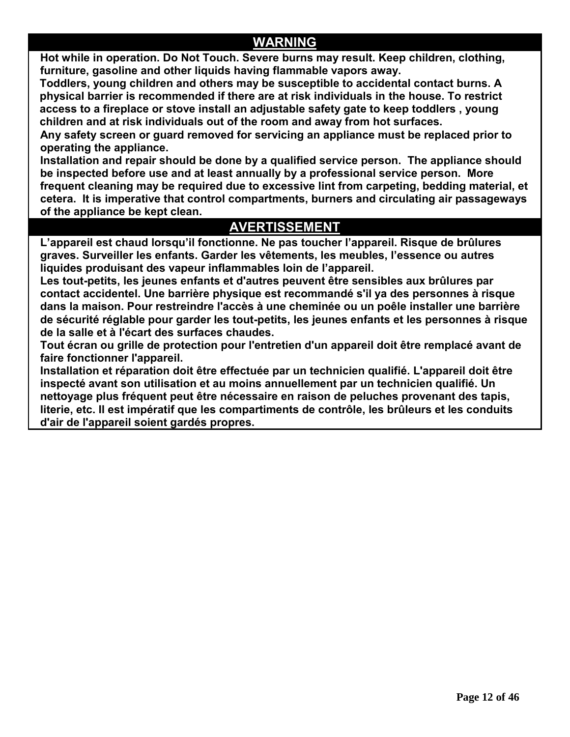## **WARNING**

**Hot while in operation. Do Not Touch. Severe burns may result. Keep children, clothing, furniture, gasoline and other liquids having flammable vapors away.**

 **Toddlers, young children and others may be susceptible to accidental contact burns. A physical barrier is recommended if there are at risk individuals in the house. To restrict access to a fireplace or stove install an adjustable safety gate to keep toddlers , young children and at risk individuals out of the room and away from hot surfaces.**

**Any safety screen or guard removed for servicing an appliance must be replaced prior to operating the appliance.**

**Installation and repair should be done by a qualified service person. The appliance should be inspected before use and at least annually by a professional service person. More frequent cleaning may be required due to excessive lint from carpeting, bedding material, et cetera. It is imperative that control compartments, burners and circulating air passageways of the appliance be kept clean.**

## **AVERTISSEMENT**

**L'appareil est chaud lorsqu'il fonctionne. Ne pas toucher l'appareil. Risque de brûlures graves. Surveiller les enfants. Garder les vêtements, les meubles, l'essence ou autres liquides produisant des vapeur inflammables loin de l'appareil.**

**Les tout-petits, les jeunes enfants et d'autres peuvent être sensibles aux brûlures par contact accidentel. Une barrière physique est recommandé s'il ya des personnes à risque dans la maison. Pour restreindre l'accès à une cheminée ou un poêle installer une barrière de sécurité réglable pour garder les tout-petits, les jeunes enfants et les personnes à risque de la salle et à l'écart des surfaces chaudes.**

**Tout écran ou grille de protection pour l'entretien d'un appareil doit être remplacé avant de faire fonctionner l'appareil.**

**Installation et réparation doit être effectuée par un technicien qualifié. L'appareil doit être inspecté avant son utilisation et au moins annuellement par un technicien qualifié. Un nettoyage plus fréquent peut être nécessaire en raison de peluches provenant des tapis, literie, etc. Il est impératif que les compartiments de contrôle, les brûleurs et les conduits d'air de l'appareil soient gardés propres.**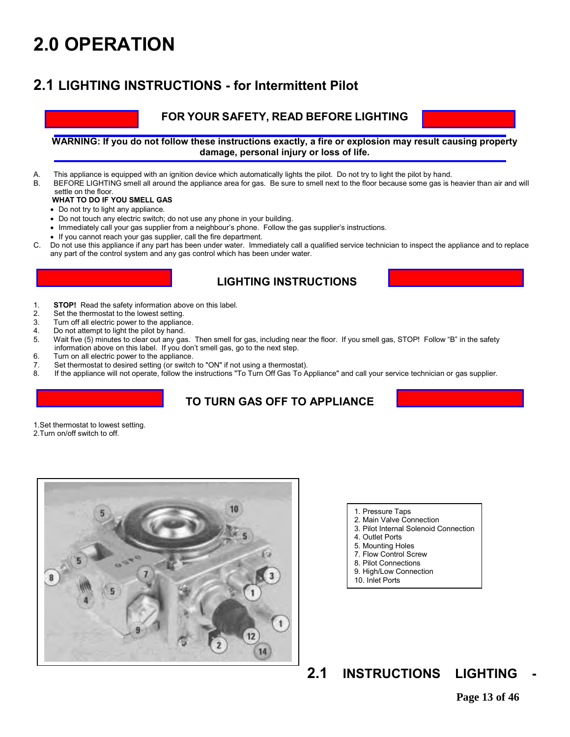# **2.0 OPERATION**

## **2.1 LIGHTING INSTRUCTIONS - for Intermittent Pilot**

#### **FOR YOUR SAFETY, READ BEFORE LIGHTING**

**WARNING: If you do not follow these instructions exactly, a fire or explosion may result causing property damage, personal injury or loss of life.** 

- A. This appliance is equipped with an ignition device which automatically lights the pilot. Do not try to light the pilot by hand.<br>By BEFORE LIGHTING small all around the appliance area for gas. Be sure to small next to th
- BEFORE LIGHTING smell all around the appliance area for gas. Be sure to smell next to the floor because some gas is heavier than air and will settle on the floor.

#### **WHAT TO DO IF YOU SMELL GAS**

- Do not try to light any appliance.
- Do not touch any electric switch; do not use any phone in your building.
- Immediately call your gas supplier from a neighbour's phone. Follow the gas supplier's instructions.
- If you cannot reach your gas supplier, call the fire department.
- C. Do not use this appliance if any part has been under water. Immediately call a qualified service technician to inspect the appliance and to replace any part of the control system and any gas control which has been under water.

#### **LIGHTING INSTRUCTIONS**

- 1. **STOP!** Read the safety information above on this label.<br>2. Set the thermostat to the lowest setting.
- 2. Set the thermostat to the lowest setting.<br>3. Turn off all electric power to the appliane
- 3. Turn off all electric power to the appliance.<br>4. Do not attempt to light the pilot by hand.
- 4. Do not attempt to light the pilot by hand.<br>5. Wait five (5) minutes to clear out any gas Wait five (5) minutes to clear out any gas. Then smell for gas, including near the floor. If you smell gas, STOP! Follow "B" in the safety information above on this label. If you don't smell gas, go to the next step.
- 6. Turn on all electric power to the appliance.
- 7. Set thermostat to desired setting (or switch to "ON" if not using a thermostat).<br>8. If the appliance will not operate follow the instructions "To Turn Off Gas To A
- If the appliance will not operate, follow the instructions "To Turn Off Gas To Appliance" and call your service technician or gas supplier.

#### **TO TURN GAS OFF TO APPLIANCE**

1.Set thermostat to lowest setting.

2.Turn on/off switch to off.



- 1. Pressure Taps
- 2. Main Valve Connection
- 3. Pilot Internal Solenoid Connection
- 4. Outlet Ports
- 5. Mounting Holes
- 7. Flow Control Screw
- 8. Pilot Connections
- 9. High/Low Connection
- 10. Inlet Ports

## **2.1 INSTRUCTIONS LIGHTING**

**Page 13 of 46**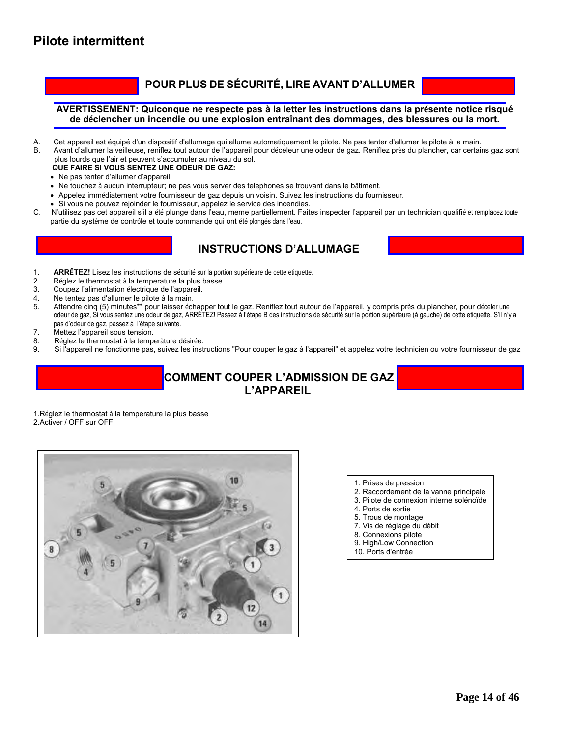#### **POUR PLUS DE SÉCURITÉ, LIRE AVANT D'ALLUMER**

#### **AVERTISSEMENT: Quiconque ne respecte pas à la letter les instructions dans la présente notice risqué de déclencher un incendie ou une explosion entraînant des dommages, des blessures ou la mort.**

- A. Cet appareil est équipé d'un dispositif d'allumage qui allume automatiquement le pilote. Ne pas tenter d'allumer le pilote à la main.
- B. Avant d'allumer la veilleuse, reniflez tout autour de l'appareil pour déceleur une odeur de gaz. Reniflez près du plancher, car certains gaz sont plus lourds que l'air et peuvent s'accumuler au niveau du sol.

#### **QUE FAIRE SI VOUS SENTEZ UNE ODEUR DE GAZ:**

- Ne pas tenter d'allumer d'appareil.
- Ne touchez à aucun interrupteur; ne pas vous server des telephones se trouvant dans le bâtiment.
- Appelez immédiatement votre fournisseur de gaz depuis un voisin. Suivez les instructions du fournisseur.
- Si vous ne pouvez rejoinder le fournisseur, appelez le service des incendies.
- C. N'utilisez pas cet appareil s'il a été plunge dans l'eau, meme partiellement. Faites inspecter l'appareil par un technician qualifié et remplacez toute partie du système de contrôle et toute commande qui ont été plongés dans l'eau.

#### **INSTRUCTIONS D'ALLUMAGE**



- 1. **ARRÊTEZ! Lisez les instructions de sécurité sur la portion supérieure de cette etiquette.<br>2. Réglez le thermostat à la temperature la plus basse**
- 2. Réglez le thermostat à la temperature la plus basse.<br>3. Coupez l'alimentation électrique de l'appareil.
- 3. Coupez l'alimentation électrique de l'appareil.<br>4 De tentez pas d'allumer le pilote à la main
- 
- 4. Ne tentez pas d'allumer le pilote à la main.<br>5. Attendre cinq (5) minutes\*\* pour laisser éch Attendre cinq (5) minutes\*\* pour laisser échapper tout le gaz. Reniflez tout autour de l'appareil, y compris près du plancher, pour déceler une odeur de gaz, Si vous sentez une odeur de gaz, ARRÉTEZ! Passez à l'étape B des instructions de sécurité sur la portion supérieure (à gauche) de cette etiquette. S'il n'y a pas d'odeur de gaz, passez à l'étape suivante.<br>7. Mettez l'appareil sous tension.
- Mettez l'appareil sous tension.
- 8. Réglez le thermostat à la temperàture désirée.
- 9. Si l'appareil ne fonctionne pas, suivez les instructions "Pour couper le gaz à l'appareil" et appelez votre technicien ou votre fournisseur de gaz

#### **COMMENT COUPER L'ADMISSION DE GAZ L'APPAREIL**

1.Réglez le thermostat à la temperature la plus basse 2.Activer / OFF sur OFF.



- 1. Prises de pression
- 2. Raccordement de la vanne principale
- 3. Pilote de connexion interne solénoïde
- 4. Ports de sortie
- 5. Trous de montage
- 7. Vis de réglage du débit
- 8. Connexions pilote
- 9. High/Low Connection
- 10. Ports d'entrée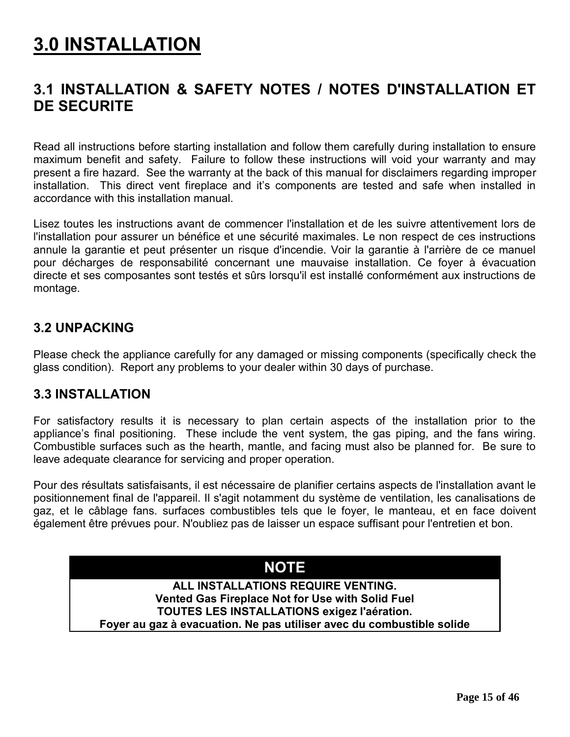# **3.0 INSTALLATION**

# **3.1 INSTALLATION & SAFETY NOTES / NOTES D'INSTALLATION ET DE SECURITE**

Read all instructions before starting installation and follow them carefully during installation to ensure maximum benefit and safety. Failure to follow these instructions will void your warranty and may present a fire hazard. See the warranty at the back of this manual for disclaimers regarding improper installation. This direct vent fireplace and it's components are tested and safe when installed in accordance with this installation manual.

Lisez toutes les instructions avant de commencer l'installation et de les suivre attentivement lors de l'installation pour assurer un bénéfice et une sécurité maximales. Le non respect de ces instructions annule la garantie et peut présenter un risque d'incendie. Voir la garantie à l'arrière de ce manuel pour décharges de responsabilité concernant une mauvaise installation. Ce foyer à évacuation directe et ses composantes sont testés et sûrs lorsqu'il est installé conformément aux instructions de montage.

## **3.2 UNPACKING**

Please check the appliance carefully for any damaged or missing components (specifically check the glass condition). Report any problems to your dealer within 30 days of purchase.

#### **3.3 INSTALLATION**

For satisfactory results it is necessary to plan certain aspects of the installation prior to the appliance's final positioning. These include the vent system, the gas piping, and the fans wiring. Combustible surfaces such as the hearth, mantle, and facing must also be planned for. Be sure to leave adequate clearance for servicing and proper operation.

Pour des résultats satisfaisants, il est nécessaire de planifier certains aspects de l'installation avant le positionnement final de l'appareil. Il s'agit notamment du système de ventilation, les canalisations de gaz, et le câblage fans. surfaces combustibles tels que le foyer, le manteau, et en face doivent également être prévues pour. N'oubliez pas de laisser un espace suffisant pour l'entretien et bon.

## **NOTE**

**ALL INSTALLATIONS REQUIRE VENTING. Vented Gas Fireplace Not for Use with Solid Fuel TOUTES LES INSTALLATIONS exigez l'aération. Foyer au gaz à evacuation. Ne pas utiliser avec du combustible solide**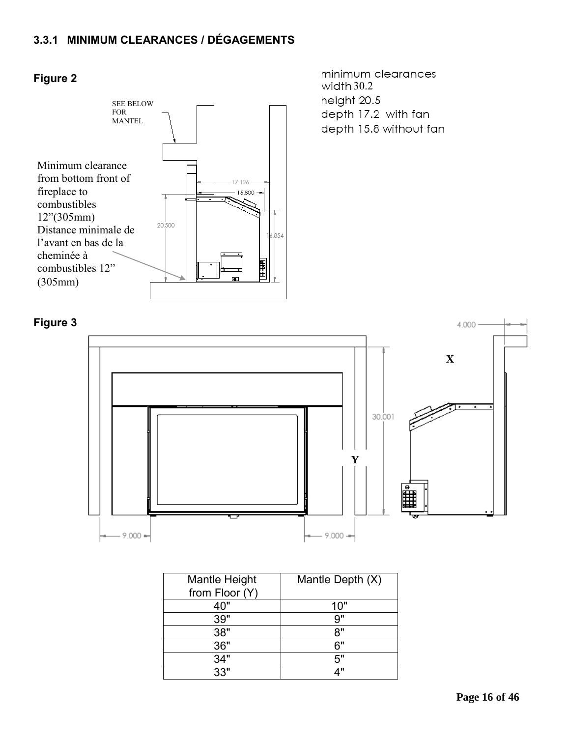## **3.3.1 MINIMUM CLEARANCES / DÉGAGEMENTS**



#### **Figure 2**

minimum clearances  $width 30.2$ height 20.5 depth 17.2 with fan depth 15.8 without fan



| <b>Mantle Height</b> | Mantle Depth (X) |
|----------------------|------------------|
| from Floor (Y)       |                  |
| 40"                  | 10"              |
| 39"                  | 9"               |
| 38"                  | יא               |
| 36"                  | հ"               |
| 34"                  | 5"               |
| 33"                  | 1 II             |

#### **Figure 3**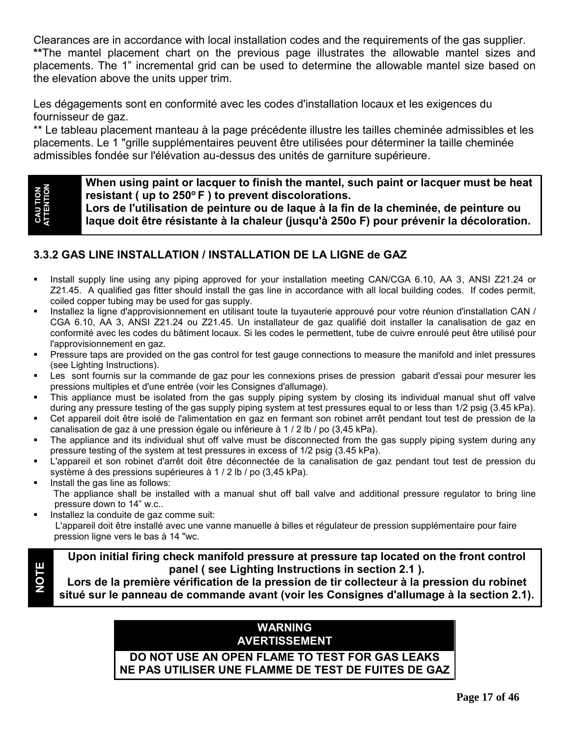Clearances are in accordance with local installation codes and the requirements of the gas supplier. **\*\***The mantel placement chart on the previous page illustrates the allowable mantel sizes and placements. The 1" incremental grid can be used to determine the allowable mantel size based on the elevation above the units upper trim.

Les dégagements sont en conformité avec les codes d'installation locaux et les exigences du fournisseur de gaz.

\*\* Le tableau placement manteau à la page précédente illustre les tailles cheminée admissibles et les placements. Le 1 "grille supplémentaires peuvent être utilisées pour déterminer la taille cheminée admissibles fondée sur l'élévation au-dessus des unités de garniture supérieure.

# **CAU TION ATTENTION**

**NOTE**

**When using paint or lacquer to finish the mantel, such paint or lacquer must be heat resistant ( up to 250<sup>o</sup>F ) to prevent discolorations.**

**Lors de l'utilisation de peinture ou de laque à la fin de la cheminée, de peinture ou laque doit être résistante à la chaleur (jusqu'à 250o F) pour prévenir la décoloration.**

#### **3.3.2 GAS LINE INSTALLATION / INSTALLATION DE LA LIGNE de GAZ**

- Install supply line using any piping approved for your installation meeting CAN/CGA 6.10, AA 3, ANSI Z21.24 or Z21.45. A qualified gas fitter should install the gas line in accordance with all local building codes. If codes permit, coiled copper tubing may be used for gas supply.
- Installez la ligne d'approvisionnement en utilisant toute la tuyauterie approuvé pour votre réunion d'installation CAN / CGA 6.10, AA 3, ANSI Z21.24 ou Z21.45. Un installateur de gaz qualifié doit installer la canalisation de gaz en conformité avec les codes du bâtiment locaux. Si les codes le permettent, tube de cuivre enroulé peut être utilisé pour l'approvisionnement en gaz.
- Pressure taps are provided on the gas control for test gauge connections to measure the manifold and inlet pressures (see Lighting Instructions).
- Les sont fournis sur la commande de gaz pour les connexions prises de pression gabarit d'essai pour mesurer les pressions multiples et d'une entrée (voir les Consignes d'allumage).
- This appliance must be isolated from the gas supply piping system by closing its individual manual shut off valve during any pressure testing of the gas supply piping system at test pressures equal to or less than 1/2 psig (3.45 kPa).
- Cet appareil doit être isolé de l'alimentation en gaz en fermant son robinet arrêt pendant tout test de pression de la canalisation de gaz à une pression égale ou inférieure à 1 / 2 lb / po (3,45 kPa).
- The appliance and its individual shut off valve must be disconnected from the gas supply piping system during any pressure testing of the system at test pressures in excess of 1/2 psig (3.45 kPa).
- L'appareil et son robinet d'arrêt doit être déconnectée de la canalisation de gaz pendant tout test de pression du système à des pressions supérieures à 1 / 2 lb / po (3,45 kPa).
- Install the gas line as follows: The appliance shall be installed with a manual shut off ball valve and additional pressure regulator to bring line pressure down to 14" w.c..
- Installez la conduite de gaz comme suit: L'appareil doit être installé avec une vanne manuelle à billes et régulateur de pression supplémentaire pour faire pression ligne vers le bas à 14 "wc.

**Upon initial firing check manifold pressure at pressure tap located on the front control panel ( see Lighting Instructions in section 2.1 ).**

**Lors de la première vérification de la pression de tir collecteur à la pression du robinet situé sur le panneau de commande avant (voir les Consignes d'allumage à la section 2.1).**

#### **WARNING AVERTISSEMENT**

#### **DO NOT USE AN OPEN FLAME TO TEST FOR GAS LEAKS NE PAS UTILISER UNE FLAMME DE TEST DE FUITES DE GAZ**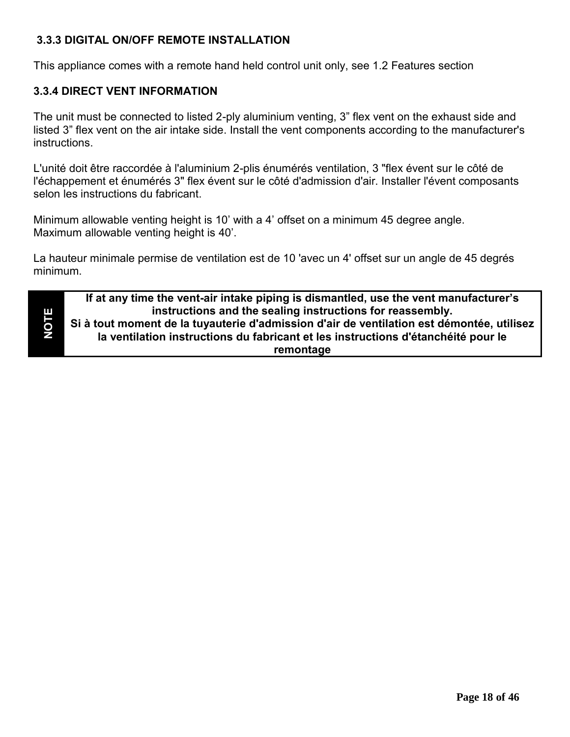#### **3.3.3 DIGITAL ON/OFF REMOTE INSTALLATION**

This appliance comes with a remote hand held control unit only, see 1.2 Features section

#### **3.3.4 DIRECT VENT INFORMATION**

The unit must be connected to listed 2-ply aluminium venting, 3" flex vent on the exhaust side and listed 3" flex vent on the air intake side. Install the vent components according to the manufacturer's instructions.

L'unité doit être raccordée à l'aluminium 2-plis énumérés ventilation, 3 "flex évent sur le côté de l'échappement et énumérés 3" flex évent sur le côté d'admission d'air. Installer l'évent composants selon les instructions du fabricant.

Minimum allowable venting height is 10' with a 4' offset on a minimum 45 degree angle. Maximum allowable venting height is 40'.

La hauteur minimale permise de ventilation est de 10 'avec un 4' offset sur un angle de 45 degrés minimum.

**NOTE**

**If at any time the vent-air intake piping is dismantled, use the vent manufacturer's instructions and the sealing instructions for reassembly. Si à tout moment de la tuyauterie d'admission d'air de ventilation est démontée, utilisez la ventilation instructions du fabricant et les instructions d'étanchéité pour le remontage**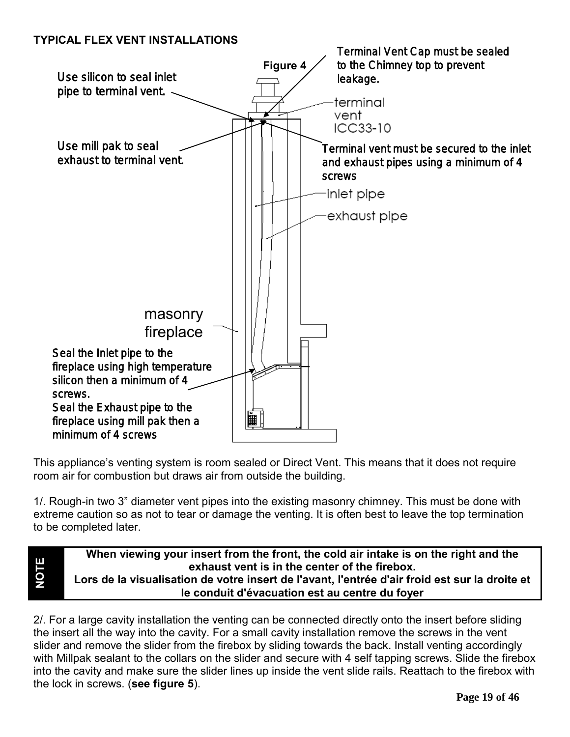#### **TYPICAL FLEX VENT INSTALLATIONS**

**NOTE**



This appliance's venting system is room sealed or Direct Vent. This means that it does not require room air for combustion but draws air from outside the building.

1/. Rough-in two 3" diameter vent pipes into the existing masonry chimney. This must be done with extreme caution so as not to tear or damage the venting. It is often best to leave the top termination to be completed later.

**When viewing your insert from the front, the cold air intake is on the right and the exhaust vent is in the center of the firebox. Lors de la visualisation de votre insert de l'avant, l'entrée d'air froid est sur la droite et le conduit d'évacuation est au centre du foyer**

2/. For a large cavity installation the venting can be connected directly onto the insert before sliding the insert all the way into the cavity. For a small cavity installation remove the screws in the vent slider and remove the slider from the firebox by sliding towards the back. Install venting accordingly with Millpak sealant to the collars on the slider and secure with 4 self tapping screws. Slide the firebox into the cavity and make sure the slider lines up inside the vent slide rails. Reattach to the firebox with the lock in screws. (**see figure 5**).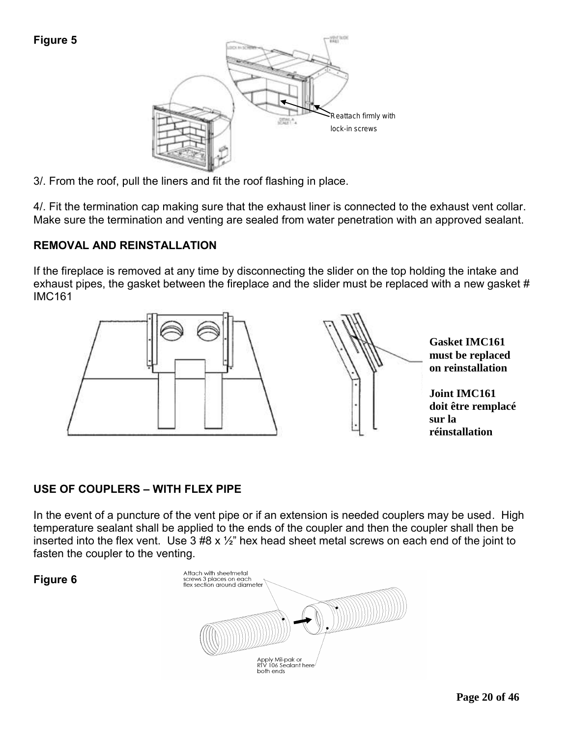

3/. From the roof, pull the liners and fit the roof flashing in place.

4/. Fit the termination cap making sure that the exhaust liner is connected to the exhaust vent collar. Make sure the termination and venting are sealed from water penetration with an approved sealant.

#### **REMOVAL AND REINSTALLATION**

If the fireplace is removed at any time by disconnecting the slider on the top holding the intake and exhaust pipes, the gasket between the fireplace and the slider must be replaced with a new gasket # IMC161



#### **USE OF COUPLERS – WITH FLEX PIPE**

In the event of a puncture of the vent pipe or if an extension is needed couplers may be used. High temperature sealant shall be applied to the ends of the coupler and then the coupler shall then be inserted into the flex vent. Use  $3 \#8 \times \frac{1}{2}$  hex head sheet metal screws on each end of the joint to fasten the coupler to the venting.



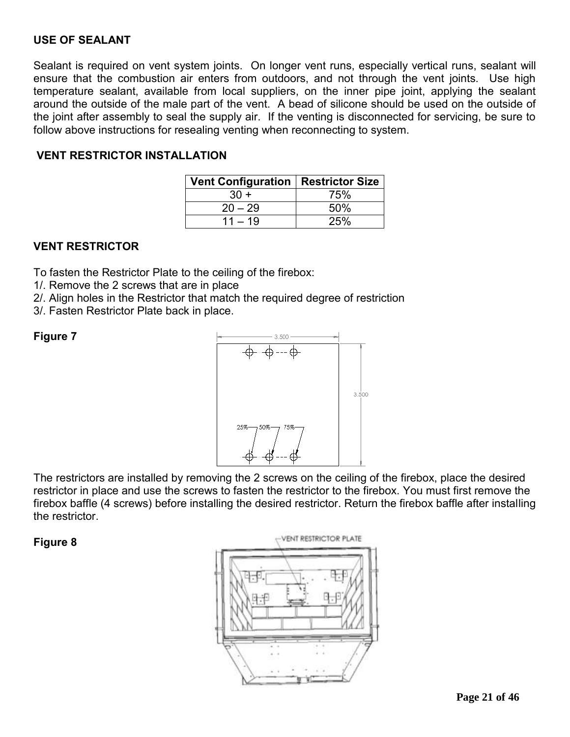#### **USE OF SEALANT**

Sealant is required on vent system joints. On longer vent runs, especially vertical runs, sealant will ensure that the combustion air enters from outdoors, and not through the vent joints. Use high temperature sealant, available from local suppliers, on the inner pipe joint, applying the sealant around the outside of the male part of the vent. A bead of silicone should be used on the outside of the joint after assembly to seal the supply air. If the venting is disconnected for servicing, be sure to follow above instructions for resealing venting when reconnecting to system.

#### **VENT RESTRICTOR INSTALLATION**

| Vent Configuration   Restrictor Size |     |
|--------------------------------------|-----|
| $30 +$                               | 75% |
| $20 - 29$                            | 50% |
| $11 - 19$                            | 25% |

#### **VENT RESTRICTOR**

To fasten the Restrictor Plate to the ceiling of the firebox:

1/. Remove the 2 screws that are in place

2/. Align holes in the Restrictor that match the required degree of restriction

3/. Fasten Restrictor Plate back in place.

**Figure 7** 



The restrictors are installed by removing the 2 screws on the ceiling of the firebox, place the desired restrictor in place and use the screws to fasten the restrictor to the firebox. You must first remove the firebox baffle (4 screws) before installing the desired restrictor. Return the firebox baffle after installing the restrictor.

#### **Figure 8**

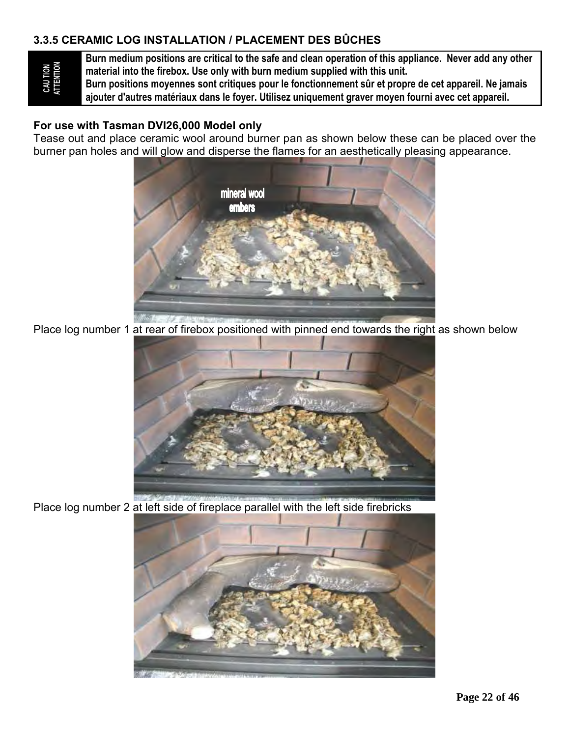#### **3.3.5 CERAMIC LOG INSTALLATION / PLACEMENT DES BÛCHES**

**Burn medium positions are critical to the safe and clean operation of this appliance. Never add any other material into the firebox. Use only with burn medium supplied with this unit.**

**Burn positions moyennes sont critiques pour le fonctionnement sûr et propre de cet appareil. Ne jamais ajouter d'autres matériaux dans le foyer. Utilisez uniquement graver moyen fourni avec cet appareil.**

#### **For use with Tasman DVI26,000 Model only**

Tease out and place ceramic wool around burner pan as shown below these can be placed over the burner pan holes and will glow and disperse the flames for an aesthetically pleasing appearance.



Place log number 1 at rear of firebox positioned with pinned end towards the right as shown below



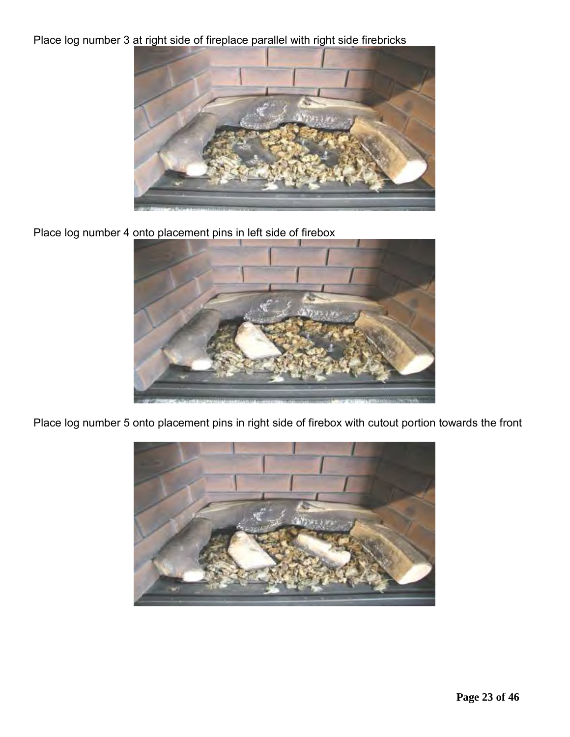Place log number 3 at right side of fireplace parallel with right side firebricks



Place log number 4 onto placement pins in left side of firebox



Place log number 5 onto placement pins in right side of firebox with cutout portion towards the front

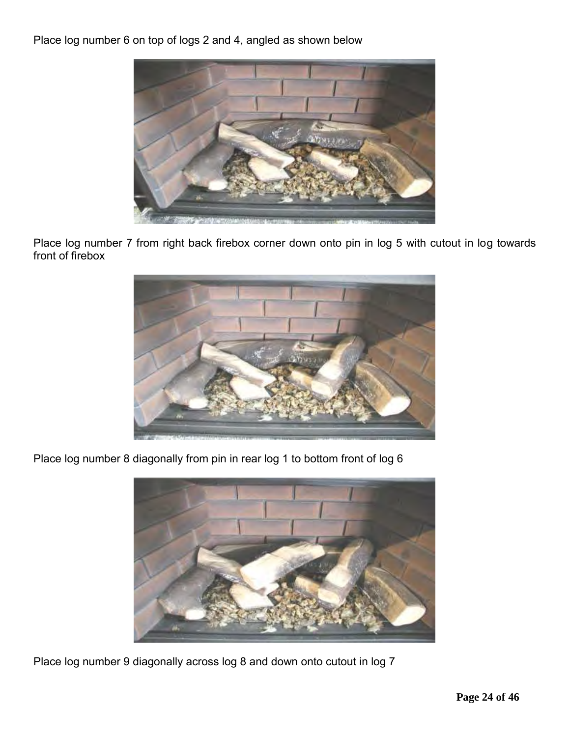Place log number 6 on top of logs 2 and 4, angled as shown below



Place log number 7 from right back firebox corner down onto pin in log 5 with cutout in log towards front of firebox



Place log number 8 diagonally from pin in rear log 1 to bottom front of log 6



Place log number 9 diagonally across log 8 and down onto cutout in log 7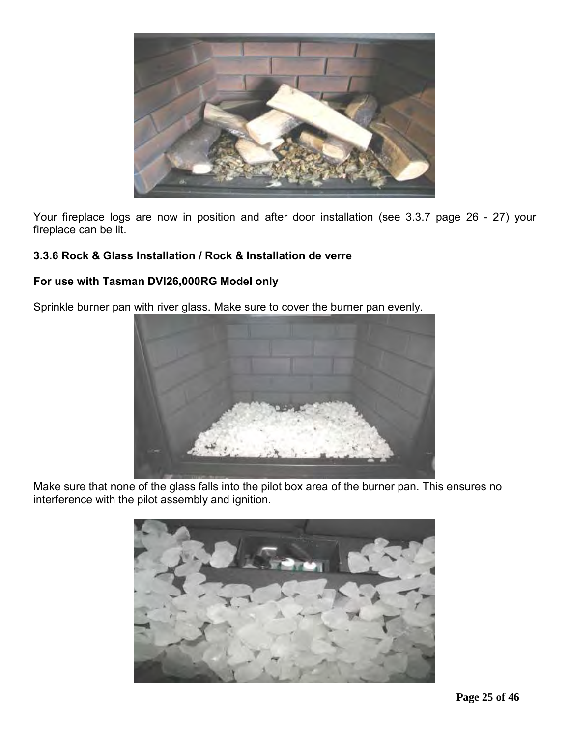

Your fireplace logs are now in position and after door installation (see 3.3.7 page 26 - 27) your fireplace can be lit.

#### **3.3.6 Rock & Glass Installation / Rock & Installation de verre**

#### **For use with Tasman DVI26,000RG Model only**

Sprinkle burner pan with river glass. Make sure to cover the burner pan evenly.



Make sure that none of the glass falls into the pilot box area of the burner pan. This ensures no interference with the pilot assembly and ignition.

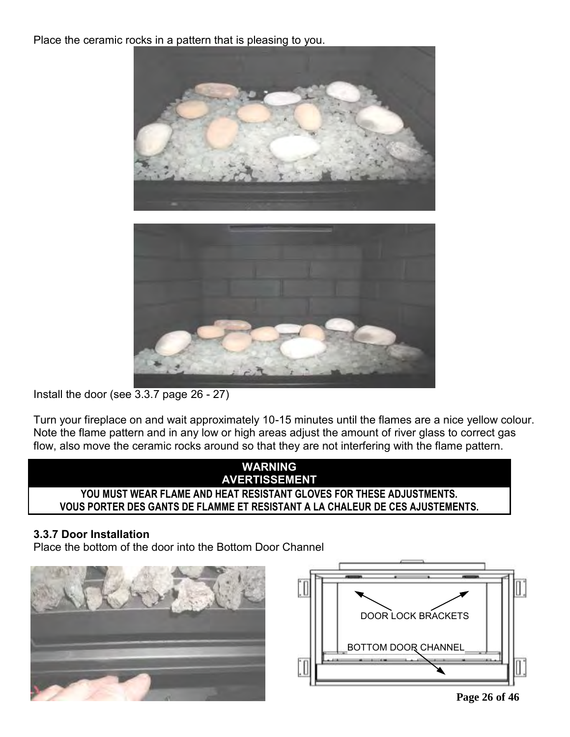Place the ceramic rocks in a pattern that is pleasing to you.





Install the door (see 3.3.7 page 26 - 27)

Turn your fireplace on and wait approximately 10-15 minutes until the flames are a nice yellow colour. Note the flame pattern and in any low or high areas adjust the amount of river glass to correct gas flow, also move the ceramic rocks around so that they are not interfering with the flame pattern.



#### **3.3.7 Door Installation**

Place the bottom of the door into the Bottom Door Channel





**Page 26 of 46**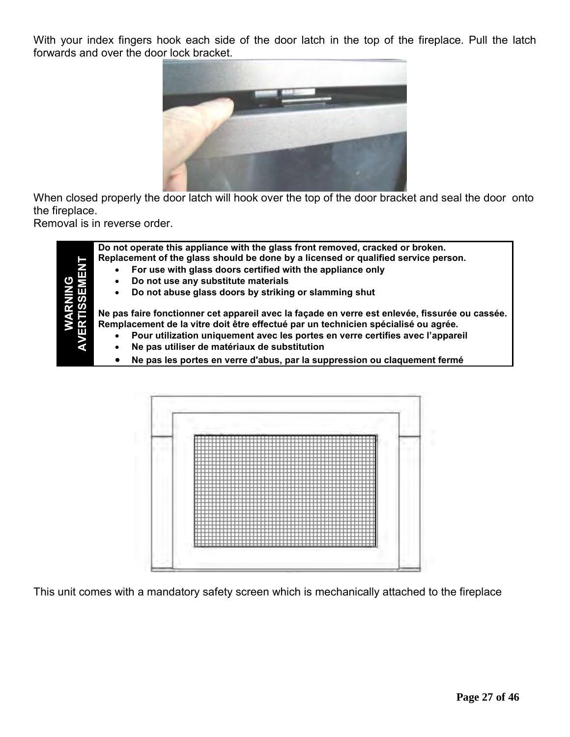With your index fingers hook each side of the door latch in the top of the fireplace. Pull the latch forwards and over the door lock bracket.



When closed properly the door latch will hook over the top of the door bracket and seal the door onto the fireplace.

Removal is in reverse order.

**Do not operate this appliance with the glass front removed, cracked or broken. Replacement of the glass should be done by a licensed or qualified service person. For use with glass doors certified with the appliance only Do not use any substitute materials Do not abuse glass doors by striking or slamming shut Ne pas faire fonctionner cet appareil avec la façade en verre est enlevée, fissurée ou cassée. Remplacement de la vitre doit être effectué par un technicien spécialisé ou agrée. Pour utilization uniquement avec les portes en verre certifies avec l'appareil Ne pas utiliser de matériaux de substitution Ne pas les portes en verre d'abus, par la suppression ou claquement fermé**

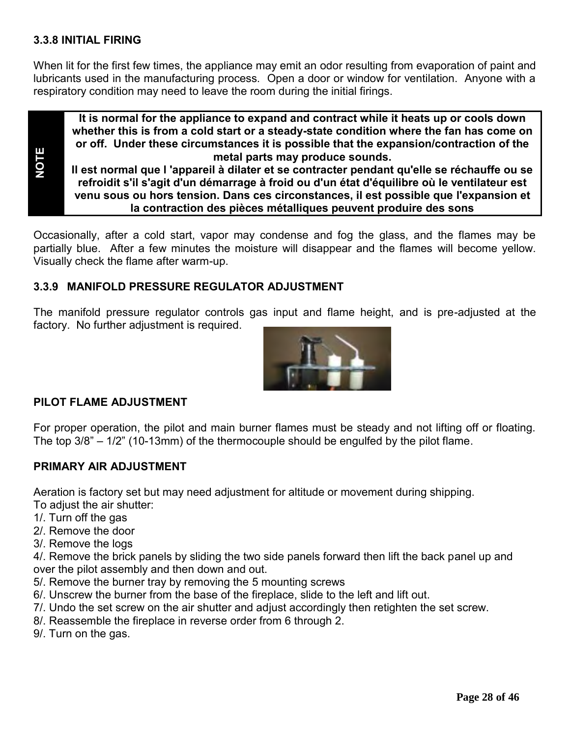#### **3.3.8 INITIAL FIRING**

**NOTE**

When lit for the first few times, the appliance may emit an odor resulting from evaporation of paint and lubricants used in the manufacturing process. Open a door or window for ventilation. Anyone with a respiratory condition may need to leave the room during the initial firings.

**It is normal for the appliance to expand and contract while it heats up or cools down whether this is from a cold start or a steady-state condition where the fan has come on or off. Under these circumstances it is possible that the expansion/contraction of the metal parts may produce sounds.**

**Il est normal que l 'appareil à dilater et se contracter pendant qu'elle se réchauffe ou se refroidit s'il s'agit d'un démarrage à froid ou d'un état d'équilibre où le ventilateur est venu sous ou hors tension. Dans ces circonstances, il est possible que l'expansion et la contraction des pièces métalliques peuvent produire des sons**

Occasionally, after a cold start, vapor may condense and fog the glass, and the flames may be partially blue. After a few minutes the moisture will disappear and the flames will become yellow. Visually check the flame after warm-up.

#### **3.3.9 MANIFOLD PRESSURE REGULATOR ADJUSTMENT**

The manifold pressure regulator controls gas input and flame height, and is pre-adjusted at the factory. No further adjustment is required.



#### **PILOT FLAME ADJUSTMENT**

For proper operation, the pilot and main burner flames must be steady and not lifting off or floating. The top 3/8" – 1/2" (10-13mm) of the thermocouple should be engulfed by the pilot flame.

#### **PRIMARY AIR ADJUSTMENT**

Aeration is factory set but may need adjustment for altitude or movement during shipping.

- To adjust the air shutter:
- 1/. Turn off the gas
- 2/. Remove the door
- 3/. Remove the logs

4/. Remove the brick panels by sliding the two side panels forward then lift the back panel up and over the pilot assembly and then down and out.

- 5/. Remove the burner tray by removing the 5 mounting screws
- 6/. Unscrew the burner from the base of the fireplace, slide to the left and lift out.
- 7/. Undo the set screw on the air shutter and adjust accordingly then retighten the set screw.
- 8/. Reassemble the fireplace in reverse order from 6 through 2.
- 9/. Turn on the gas.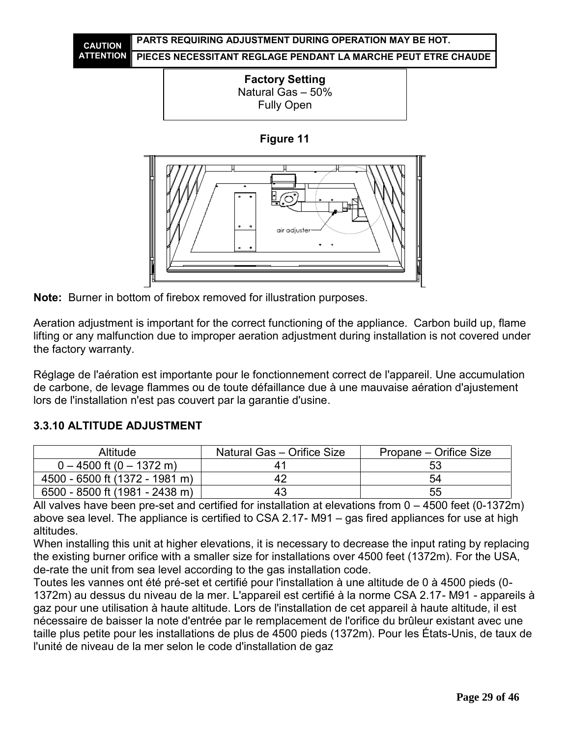



**Figure 11**



**Note:** Burner in bottom of firebox removed for illustration purposes.

Aeration adjustment is important for the correct functioning of the appliance. Carbon build up, flame lifting or any malfunction due to improper aeration adjustment during installation is not covered under the factory warranty.

Réglage de l'aération est importante pour le fonctionnement correct de l'appareil. Une accumulation de carbone, de levage flammes ou de toute défaillance due à une mauvaise aération d'ajustement lors de l'installation n'est pas couvert par la garantie d'usine.

| Altitude                       | Natural Gas - Orifice Size | Propane – Orifice Size |
|--------------------------------|----------------------------|------------------------|
| $0 - 4500$ ft (0 $- 1372$ m)   | 41                         | 53                     |
| 4500 - 6500 ft (1372 - 1981 m) | 42                         | 54                     |
| 6500 - 8500 ft (1981 - 2438 m) | 43                         | 55                     |

#### **3.3.10 ALTITUDE ADJUSTMENT**

All valves have been pre-set and certified for installation at elevations from 0 – 4500 feet (0-1372m) above sea level. The appliance is certified to CSA 2.17- M91 – gas fired appliances for use at high altitudes.

When installing this unit at higher elevations, it is necessary to decrease the input rating by replacing the existing burner orifice with a smaller size for installations over 4500 feet (1372m). For the USA, de-rate the unit from sea level according to the gas installation code.

Toutes les vannes ont été pré-set et certifié pour l'installation à une altitude de 0 à 4500 pieds (0- 1372m) au dessus du niveau de la mer. L'appareil est certifié à la norme CSA 2.17- M91 - appareils à gaz pour une utilisation à haute altitude. Lors de l'installation de cet appareil à haute altitude, il est nécessaire de baisser la note d'entrée par le remplacement de l'orifice du brûleur existant avec une taille plus petite pour les installations de plus de 4500 pieds (1372m). Pour les États-Unis, de taux de l'unité de niveau de la mer selon le code d'installation de gaz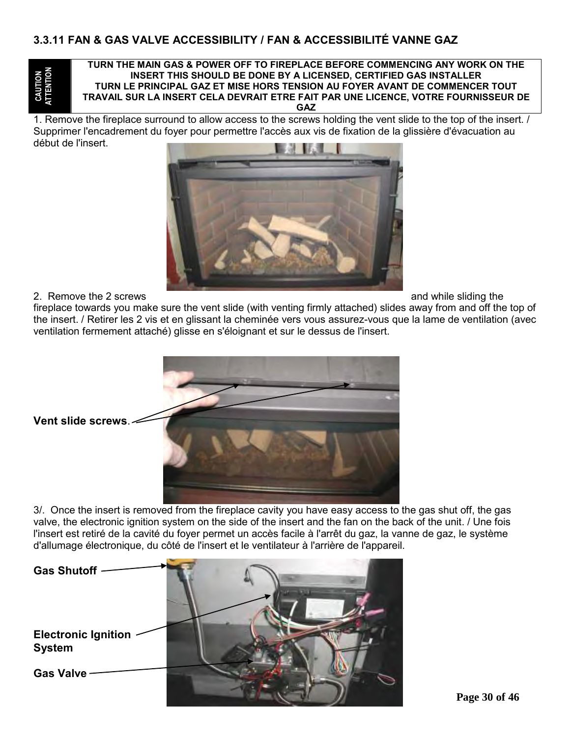**CAUTION ATTENTION**

#### **TURN THE MAIN GAS & POWER OFF TO FIREPLACE BEFORE COMMENCING ANY WORK ON THE INSERT THIS SHOULD BE DONE BY A LICENSED, CERTIFIED GAS INSTALLER TURN LE PRINCIPAL GAZ ET MISE HORS TENSION AU FOYER AVANT DE COMMENCER TOUT TRAVAIL SUR LA INSERT CELA DEVRAIT ETRE FAIT PAR UNE LICENCE, VOTRE FOURNISSEUR DE GAZ**

1. Remove the fireplace surround to allow access to the screws holding the vent slide to the top of the insert. Supprimer l'encadrement du foyer pour permettre l'accès aux vis de fixation de la glissière d'évacuation au début de l'insert.



#### 2. Remove the 2 screws and while sliding the strength of the strength of the strength of the strength of the strength of the strength of the strength of the strength of the strength of the strength of the strength of the s

fireplace towards you make sure the vent slide (with venting firmly attached) slides away from and off the top of the insert. / Retirer les 2 vis et en glissant la cheminée vers vous assurez-vous que la lame de ventilation (avec ventilation fermement attaché) glisse en s'éloignant et sur le dessus de l'insert.



3/. Once the insert is removed from the fireplace cavity you have easy access to the gas shut off, the gas valve, the electronic ignition system on the side of the insert and the fan on the back of the unit. / Une fois l'insert est retiré de la cavité du foyer permet un accès facile à l'arrêt du gaz, la vanne de gaz, le système d'allumage électronique, du côté de l'insert et le ventilateur à l'arrière de l'appareil.

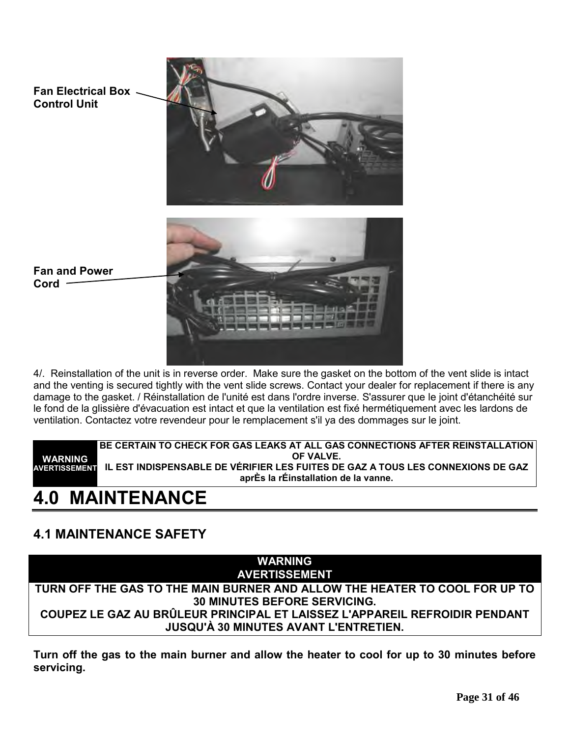

4/. Reinstallation of the unit is in reverse order. Make sure the gasket on the bottom of the vent slide is intact and the venting is secured tightly with the vent slide screws. Contact your dealer for replacement if there is any damage to the gasket. / Réinstallation de l'unité est dans l'ordre inverse. S'assurer que le joint d'étanchéité sur le fond de la glissière d'évacuation est intact et que la ventilation est fixé hermétiquement avec les lardons de ventilation. Contactez votre revendeur pour le remplacement s'il ya des dommages sur le joint.

**WARNING AVERTISSEMENT IL EST INDISPENSABLE DE VÉRIFIER LES FUITES DE GAZ A TOUS LES CONNEXIONS DE GAZ BE CERTAIN TO CHECK FOR GAS LEAKS AT ALL GAS CONNECTIONS AFTER REINSTALLATION OF VALVE. aprÈs la rÉinstallation de la vanne.**

# **4.0 MAINTENANCE**

# **4.1 MAINTENANCE SAFETY**



**Turn off the gas to the main burner and allow the heater to cool for up to 30 minutes before servicing.**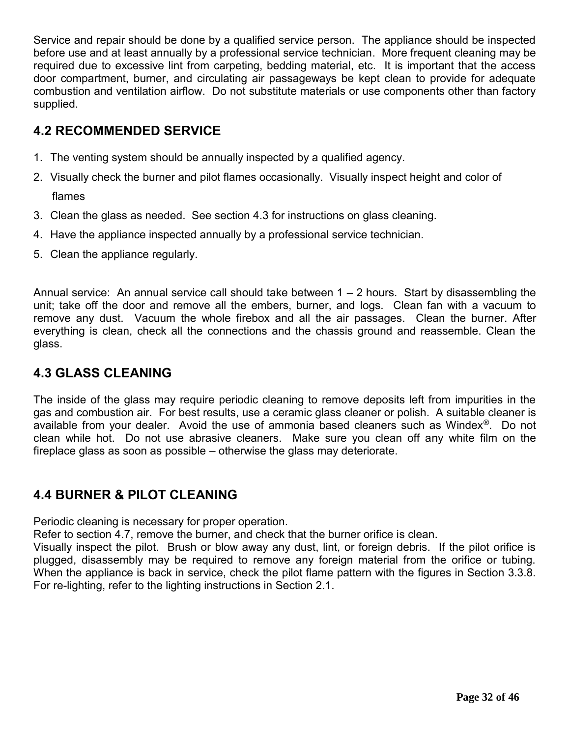Service and repair should be done by a qualified service person. The appliance should be inspected before use and at least annually by a professional service technician. More frequent cleaning may be required due to excessive lint from carpeting, bedding material, etc. It is important that the access door compartment, burner, and circulating air passageways be kept clean to provide for adequate combustion and ventilation airflow. Do not substitute materials or use components other than factory supplied.

## **4.2 RECOMMENDED SERVICE**

- 1. The venting system should be annually inspected by a qualified agency.
- 2. Visually check the burner and pilot flames occasionally. Visually inspect height and color of flames
- 3. Clean the glass as needed. See section 4.3 for instructions on glass cleaning.
- 4. Have the appliance inspected annually by a professional service technician.
- 5. Clean the appliance regularly.

Annual service: An annual service call should take between  $1 - 2$  hours. Start by disassembling the unit; take off the door and remove all the embers, burner, and logs. Clean fan with a vacuum to remove any dust. Vacuum the whole firebox and all the air passages. Clean the burner. After everything is clean, check all the connections and the chassis ground and reassemble. Clean the glass.

## **4.3 GLASS CLEANING**

The inside of the glass may require periodic cleaning to remove deposits left from impurities in the gas and combustion air. For best results, use a ceramic glass cleaner or polish. A suitable cleaner is available from your dealer. Avoid the use of ammonia based cleaners such as Windex®. Do not clean while hot. Do not use abrasive cleaners. Make sure you clean off any white film on the fireplace glass as soon as possible – otherwise the glass may deteriorate.

## **4.4 BURNER & PILOT CLEANING**

Periodic cleaning is necessary for proper operation.

Refer to section 4.7, remove the burner, and check that the burner orifice is clean.

Visually inspect the pilot. Brush or blow away any dust, lint, or foreign debris. If the pilot orifice is plugged, disassembly may be required to remove any foreign material from the orifice or tubing. When the appliance is back in service, check the pilot flame pattern with the figures in Section 3.3.8. For re-lighting, refer to the lighting instructions in Section 2.1.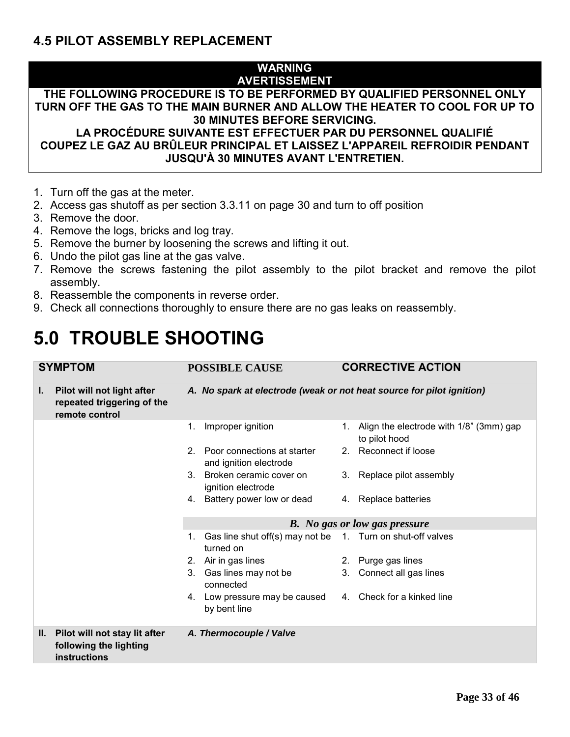## **4.5 PILOT ASSEMBLY REPLACEMENT**

#### **WARNING AVERTISSEMENT**

## **THE FOLLOWING PROCEDURE IS TO BE PERFORMED BY QUALIFIED PERSONNEL ONLY TURN OFF THE GAS TO THE MAIN BURNER AND ALLOW THE HEATER TO COOL FOR UP TO 30 MINUTES BEFORE SERVICING.**

**LA PROCÉDURE SUIVANTE EST EFFECTUER PAR DU PERSONNEL QUALIFIÉ COUPEZ LE GAZ AU BRÛLEUR PRINCIPAL ET LAISSEZ L'APPAREIL REFROIDIR PENDANT JUSQU'À 30 MINUTES AVANT L'ENTRETIEN.**

- 1. Turn off the gas at the meter.
- 2. Access gas shutoff as per section 3.3.11 on page 30 and turn to off position
- 3. Remove the door.
- 4. Remove the logs, bricks and log tray.
- 5. Remove the burner by loosening the screws and lifting it out.
- 6. Undo the pilot gas line at the gas valve.
- 7. Remove the screws fastening the pilot assembly to the pilot bracket and remove the pilot assembly.
- 8. Reassemble the components in reverse order.
- 9. Check all connections thoroughly to ensure there are no gas leaks on reassembly.

# **5.0 TROUBLE SHOOTING**

| <b>SYMPTOM</b> |                                                                            | <b>POSSIBLE CAUSE</b>                                                 |  | <b>CORRECTIVE ACTION</b> |                                                               |
|----------------|----------------------------------------------------------------------------|-----------------------------------------------------------------------|--|--------------------------|---------------------------------------------------------------|
| Ъ.             | Pilot will not light after<br>repeated triggering of the<br>remote control | A. No spark at electrode (weak or not heat source for pilot ignition) |  |                          |                                                               |
|                |                                                                            | Improper ignition                                                     |  | 1.                       | Align the electrode with 1/8" (3mm) gap<br>to pilot hood      |
|                |                                                                            | 2. Poor connections at starter<br>and ignition electrode              |  |                          | 2. Reconnect if loose                                         |
|                |                                                                            | 3. Broken ceramic cover on<br>ignition electrode                      |  |                          | 3. Replace pilot assembly                                     |
|                |                                                                            | 4. Battery power low or dead                                          |  |                          | 4. Replace batteries                                          |
|                |                                                                            | <b>B.</b> No gas or low gas pressure                                  |  |                          |                                                               |
|                |                                                                            | turned on                                                             |  |                          | 1. Gas line shut off(s) may not be 1. Turn on shut-off valves |
|                |                                                                            | 2. Air in gas lines                                                   |  |                          | 2. Purge gas lines                                            |
|                |                                                                            | 3. Gas lines may not be<br>connected                                  |  |                          | 3. Connect all gas lines                                      |
|                |                                                                            | 4. Low pressure may be caused<br>by bent line                         |  |                          | 4. Check for a kinked line                                    |
| Ш.             | Pilot will not stay lit after<br>following the lighting<br>instructions    | A. Thermocouple / Valve                                               |  |                          |                                                               |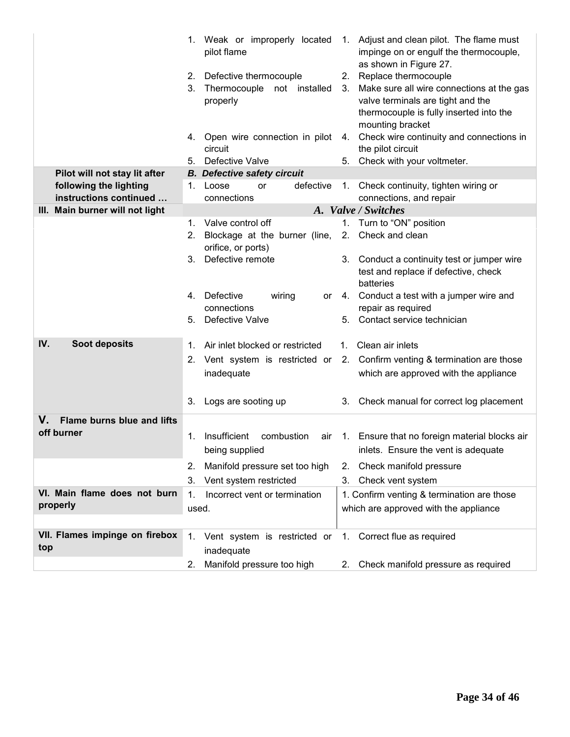|                                                  |    | pilot flame                                                            |    | 1. Weak or improperly located 1. Adjust and clean pilot. The flame must<br>impinge on or engulf the thermocouple,<br>as shown in Figure 27.             |
|--------------------------------------------------|----|------------------------------------------------------------------------|----|---------------------------------------------------------------------------------------------------------------------------------------------------------|
|                                                  | 3. | 2. Defective thermocouple<br>Thermocouple<br>not installed<br>properly |    | 2. Replace thermocouple<br>3. Make sure all wire connections at the gas<br>valve terminals are tight and the<br>thermocouple is fully inserted into the |
|                                                  |    | 4. Open wire connection in pilot                                       | 4. | mounting bracket<br>Check wire continuity and connections in                                                                                            |
|                                                  | 5. | circuit<br>Defective Valve                                             | 5. | the pilot circuit<br>Check with your voltmeter.                                                                                                         |
| Pilot will not stay lit after                    |    | <b>B.</b> Defective safety circuit                                     |    |                                                                                                                                                         |
| following the lighting<br>instructions continued |    | defective<br>1. Loose<br>or<br>connections                             |    | 1. Check continuity, tighten wiring or<br>connections, and repair                                                                                       |
| III. Main burner will not light                  |    |                                                                        |    | A. Valve / Switches                                                                                                                                     |
|                                                  |    | 1. Valve control off                                                   | 1. | Turn to "ON" position                                                                                                                                   |
|                                                  | 2. | Blockage at the burner (line,<br>orifice, or ports)                    |    | 2. Check and clean                                                                                                                                      |
|                                                  | 3. | Defective remote                                                       |    | 3. Conduct a continuity test or jumper wire<br>test and replace if defective, check<br>batteries                                                        |
|                                                  |    | 4. Defective<br>wiring<br>or<br>connections                            |    | 4. Conduct a test with a jumper wire and<br>repair as required                                                                                          |
|                                                  | 5. | Defective Valve                                                        | 5. | Contact service technician                                                                                                                              |
| IV.<br>Soot deposits                             |    | 1. Air inlet blocked or restricted                                     |    | 1. Clean air inlets                                                                                                                                     |
|                                                  | 2. |                                                                        |    | Vent system is restricted or 2. Confirm venting & termination are those                                                                                 |
|                                                  |    | inadequate                                                             |    | which are approved with the appliance                                                                                                                   |
|                                                  | 3. | Logs are sooting up                                                    |    | 3. Check manual for correct log placement                                                                                                               |
| Flame burns blue and lifts<br>V.<br>off burner   | 1. | Insufficient combustion                                                |    | air 1. Ensure that no foreign material blocks air                                                                                                       |
|                                                  |    | being supplied                                                         |    | inlets. Ensure the vent is adequate                                                                                                                     |
|                                                  | 2. | Manifold pressure set too high                                         | 2. | Check manifold pressure                                                                                                                                 |
|                                                  | 3. | Vent system restricted                                                 | 3. | Check vent system                                                                                                                                       |
| VI. Main flame does not burn                     | 1. | Incorrect vent or termination                                          |    | 1. Confirm venting & termination are those                                                                                                              |
| properly                                         |    | used.                                                                  |    | which are approved with the appliance                                                                                                                   |
|                                                  |    |                                                                        |    |                                                                                                                                                         |
| VII. Flames impinge on firebox<br>top            |    | 1. Vent system is restricted or<br>inadequate                          |    | 1. Correct flue as required                                                                                                                             |
|                                                  | 2. | Manifold pressure too high                                             | 2. | Check manifold pressure as required                                                                                                                     |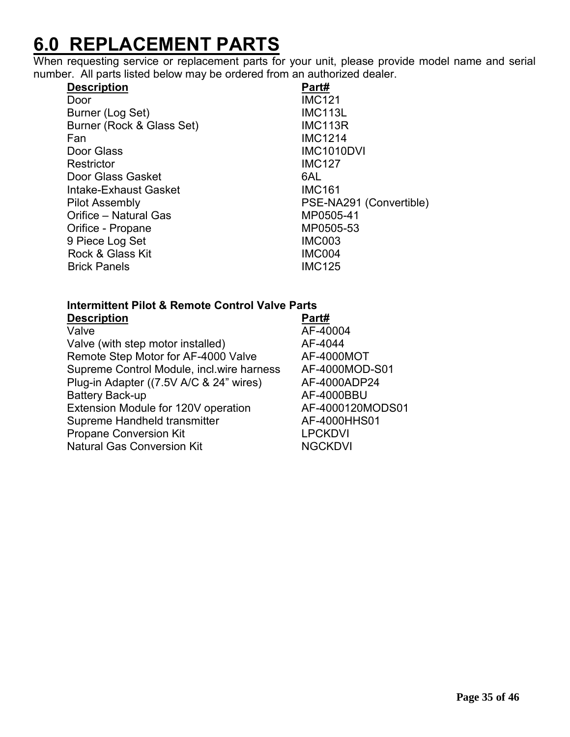# **6.0 REPLACEMENT PARTS**

When requesting service or replacement parts for your unit, please provide model name and serial number. All parts listed below may be ordered from an authorized dealer.

| <b>Description</b>        | Part#                   |
|---------------------------|-------------------------|
| Door                      | <b>IMC121</b>           |
| Burner (Log Set)          | <b>IMC113L</b>          |
| Burner (Rock & Glass Set) | <b>IMC113R</b>          |
| Fan                       | <b>IMC1214</b>          |
| Door Glass                | <b>IMC1010DVI</b>       |
| Restrictor                | <b>IMC127</b>           |
| Door Glass Gasket         | 6AL                     |
| Intake-Exhaust Gasket     | <b>IMC161</b>           |
| Pilot Assembly            | PSE-NA291 (Convertible) |
| Orifice - Natural Gas     | MP0505-41               |
| Orifice - Propane         | MP0505-53               |
| 9 Piece Log Set           | <b>IMC003</b>           |
| Rock & Glass Kit          | <b>IMC004</b>           |
| <b>Brick Panels</b>       | <b>IMC125</b>           |

#### **Intermittent Pilot & Remote Control Valve Parts Description**

| PVV.IPWII                                 | .                |
|-------------------------------------------|------------------|
| Valve                                     | AF-40004         |
| Valve (with step motor installed)         | AF-4044          |
| Remote Step Motor for AF-4000 Valve       | AF-4000MOT       |
| Supreme Control Module, incl.wire harness | AF-4000MOD-S01   |
| Plug-in Adapter ((7.5V A/C & 24" wires)   | AF-4000ADP24     |
| <b>Battery Back-up</b>                    | AF-4000BBU       |
| Extension Module for 120V operation       | AF-4000120MODS01 |
| Supreme Handheld transmitter              | AF-4000HHS01     |
| <b>Propane Conversion Kit</b>             | <b>LPCKDVI</b>   |
| <b>Natural Gas Conversion Kit</b>         | <b>NGCKDVI</b>   |
|                                           |                  |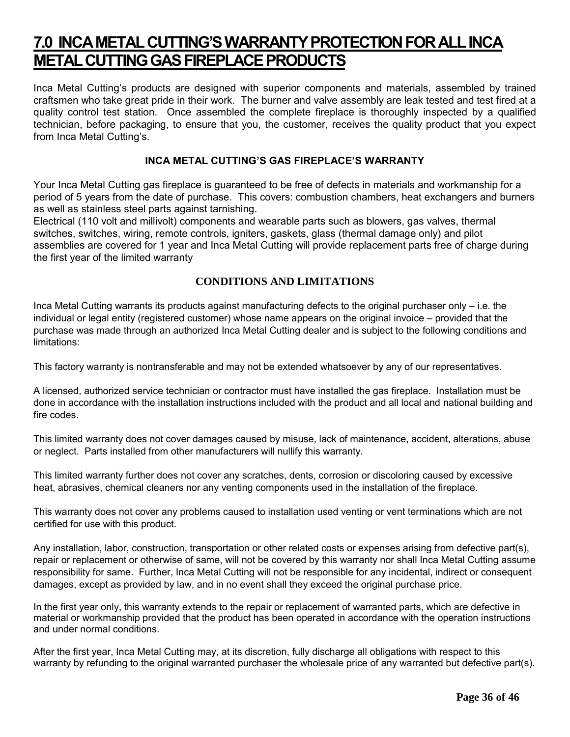# **7.0 INCA METAL CUTTING'S WARRANTY PROTECTION FOR ALL INCA METAL CUTTING GAS FIREPLACE PRODUCTS**

Inca Metal Cutting's products are designed with superior components and materials, assembled by trained craftsmen who take great pride in their work. The burner and valve assembly are leak tested and test fired at a quality control test station. Once assembled the complete fireplace is thoroughly inspected by a qualified technician, before packaging, to ensure that you, the customer, receives the quality product that you expect from Inca Metal Cutting's.

#### **INCA METAL CUTTING'S GAS FIREPLACE'S WARRANTY**

Your Inca Metal Cutting gas fireplace is guaranteed to be free of defects in materials and workmanship for a period of 5 years from the date of purchase. This covers: combustion chambers, heat exchangers and burners as well as stainless steel parts against tarnishing.

Electrical (110 volt and millivolt) components and wearable parts such as blowers, gas valves, thermal switches, switches, wiring, remote controls, igniters, gaskets, glass (thermal damage only) and pilot assemblies are covered for 1 year and Inca Metal Cutting will provide replacement parts free of charge during the first year of the limited warranty

#### **CONDITIONS AND LIMITATIONS**

Inca Metal Cutting warrants its products against manufacturing defects to the original purchaser only – i.e. the individual or legal entity (registered customer) whose name appears on the original invoice – provided that the purchase was made through an authorized Inca Metal Cutting dealer and is subject to the following conditions and limitations:

This factory warranty is nontransferable and may not be extended whatsoever by any of our representatives.

A licensed, authorized service technician or contractor must have installed the gas fireplace. Installation must be done in accordance with the installation instructions included with the product and all local and national building and fire codes.

This limited warranty does not cover damages caused by misuse, lack of maintenance, accident, alterations, abuse or neglect. Parts installed from other manufacturers will nullify this warranty.

This limited warranty further does not cover any scratches, dents, corrosion or discoloring caused by excessive heat, abrasives, chemical cleaners nor any venting components used in the installation of the fireplace.

This warranty does not cover any problems caused to installation used venting or vent terminations which are not certified for use with this product.

Any installation, labor, construction, transportation or other related costs or expenses arising from defective part(s), repair or replacement or otherwise of same, will not be covered by this warranty nor shall Inca Metal Cutting assume responsibility for same. Further, Inca Metal Cutting will not be responsible for any incidental, indirect or consequent damages, except as provided by law, and in no event shall they exceed the original purchase price.

In the first year only, this warranty extends to the repair or replacement of warranted parts, which are defective in material or workmanship provided that the product has been operated in accordance with the operation instructions and under normal conditions.

After the first year, Inca Metal Cutting may, at its discretion, fully discharge all obligations with respect to this warranty by refunding to the original warranted purchaser the wholesale price of any warranted but defective part(s).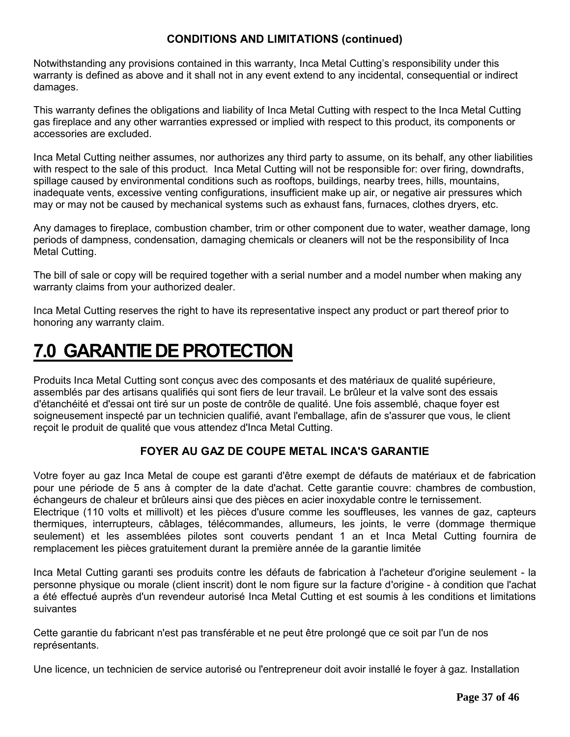#### **CONDITIONS AND LIMITATIONS (continued)**

Notwithstanding any provisions contained in this warranty, Inca Metal Cutting's responsibility under this warranty is defined as above and it shall not in any event extend to any incidental, consequential or indirect damages.

This warranty defines the obligations and liability of Inca Metal Cutting with respect to the Inca Metal Cutting gas fireplace and any other warranties expressed or implied with respect to this product, its components or accessories are excluded.

Inca Metal Cutting neither assumes, nor authorizes any third party to assume, on its behalf, any other liabilities with respect to the sale of this product. Inca Metal Cutting will not be responsible for: over firing, downdrafts, spillage caused by environmental conditions such as rooftops, buildings, nearby trees, hills, mountains, inadequate vents, excessive venting configurations, insufficient make up air, or negative air pressures which may or may not be caused by mechanical systems such as exhaust fans, furnaces, clothes dryers, etc.

Any damages to fireplace, combustion chamber, trim or other component due to water, weather damage, long periods of dampness, condensation, damaging chemicals or cleaners will not be the responsibility of Inca Metal Cutting.

The bill of sale or copy will be required together with a serial number and a model number when making any warranty claims from your authorized dealer.

Inca Metal Cutting reserves the right to have its representative inspect any product or part thereof prior to honoring any warranty claim.

# **7.0 GARANTIE DE PROTECTION**

Produits Inca Metal Cutting sont conçus avec des composants et des matériaux de qualité supérieure, assemblés par des artisans qualifiés qui sont fiers de leur travail. Le brûleur et la valve sont des essais d'étanchéité et d'essai ont tiré sur un poste de contrôle de qualité. Une fois assemblé, chaque foyer est soigneusement inspecté par un technicien qualifié, avant l'emballage, afin de s'assurer que vous, le client reçoit le produit de qualité que vous attendez d'Inca Metal Cutting.

#### **FOYER AU GAZ DE COUPE METAL INCA'S GARANTIE**

Votre foyer au gaz Inca Metal de coupe est garanti d'être exempt de défauts de matériaux et de fabrication pour une période de 5 ans à compter de la date d'achat. Cette garantie couvre: chambres de combustion, échangeurs de chaleur et brûleurs ainsi que des pièces en acier inoxydable contre le ternissement.

Electrique (110 volts et millivolt) et les pièces d'usure comme les souffleuses, les vannes de gaz, capteurs thermiques, interrupteurs, câblages, télécommandes, allumeurs, les joints, le verre (dommage thermique seulement) et les assemblées pilotes sont couverts pendant 1 an et Inca Metal Cutting fournira de remplacement les pièces gratuitement durant la première année de la garantie limitée

Inca Metal Cutting garanti ses produits contre les défauts de fabrication à l'acheteur d'origine seulement - la personne physique ou morale (client inscrit) dont le nom figure sur la facture d'origine - à condition que l'achat a été effectué auprès d'un revendeur autorisé Inca Metal Cutting et est soumis à les conditions et limitations suivantes

Cette garantie du fabricant n'est pas transférable et ne peut être prolongé que ce soit par l'un de nos représentants.

Une licence, un technicien de service autorisé ou l'entrepreneur doit avoir installé le foyer à gaz. Installation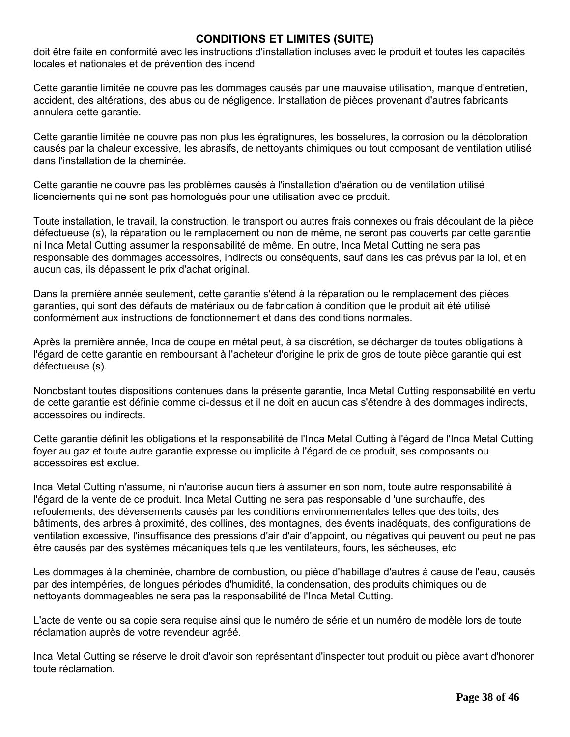#### **CONDITIONS ET LIMITES (SUITE)**

doit être faite en conformité avec les instructions d'installation incluses avec le produit et toutes les capacités locales et nationales et de prévention des incend

Cette garantie limitée ne couvre pas les dommages causés par une mauvaise utilisation, manque d'entretien, accident, des altérations, des abus ou de négligence. Installation de pièces provenant d'autres fabricants annulera cette garantie.

Cette garantie limitée ne couvre pas non plus les égratignures, les bosselures, la corrosion ou la décoloration causés par la chaleur excessive, les abrasifs, de nettoyants chimiques ou tout composant de ventilation utilisé dans l'installation de la cheminée.

Cette garantie ne couvre pas les problèmes causés à l'installation d'aération ou de ventilation utilisé licenciements qui ne sont pas homologués pour une utilisation avec ce produit.

Toute installation, le travail, la construction, le transport ou autres frais connexes ou frais découlant de la pièce défectueuse (s), la réparation ou le remplacement ou non de même, ne seront pas couverts par cette garantie ni Inca Metal Cutting assumer la responsabilité de même. En outre, Inca Metal Cutting ne sera pas responsable des dommages accessoires, indirects ou conséquents, sauf dans les cas prévus par la loi, et en aucun cas, ils dépassent le prix d'achat original.

Dans la première année seulement, cette garantie s'étend à la réparation ou le remplacement des pièces garanties, qui sont des défauts de matériaux ou de fabrication à condition que le produit ait été utilisé conformément aux instructions de fonctionnement et dans des conditions normales.

Après la première année, Inca de coupe en métal peut, à sa discrétion, se décharger de toutes obligations à l'égard de cette garantie en remboursant à l'acheteur d'origine le prix de gros de toute pièce garantie qui est défectueuse (s).

Nonobstant toutes dispositions contenues dans la présente garantie, Inca Metal Cutting responsabilité en vertu de cette garantie est définie comme ci-dessus et il ne doit en aucun cas s'étendre à des dommages indirects, accessoires ou indirects.

Cette garantie définit les obligations et la responsabilité de l'Inca Metal Cutting à l'égard de l'Inca Metal Cutting foyer au gaz et toute autre garantie expresse ou implicite à l'égard de ce produit, ses composants ou accessoires est exclue.

Inca Metal Cutting n'assume, ni n'autorise aucun tiers à assumer en son nom, toute autre responsabilité à l'égard de la vente de ce produit. Inca Metal Cutting ne sera pas responsable d 'une surchauffe, des refoulements, des déversements causés par les conditions environnementales telles que des toits, des bâtiments, des arbres à proximité, des collines, des montagnes, des évents inadéquats, des configurations de ventilation excessive, l'insuffisance des pressions d'air d'air d'appoint, ou négatives qui peuvent ou peut ne pas être causés par des systèmes mécaniques tels que les ventilateurs, fours, les sécheuses, etc

Les dommages à la cheminée, chambre de combustion, ou pièce d'habillage d'autres à cause de l'eau, causés par des intempéries, de longues périodes d'humidité, la condensation, des produits chimiques ou de nettoyants dommageables ne sera pas la responsabilité de l'Inca Metal Cutting.

L'acte de vente ou sa copie sera requise ainsi que le numéro de série et un numéro de modèle lors de toute réclamation auprès de votre revendeur agréé.

Inca Metal Cutting se réserve le droit d'avoir son représentant d'inspecter tout produit ou pièce avant d'honorer toute réclamation.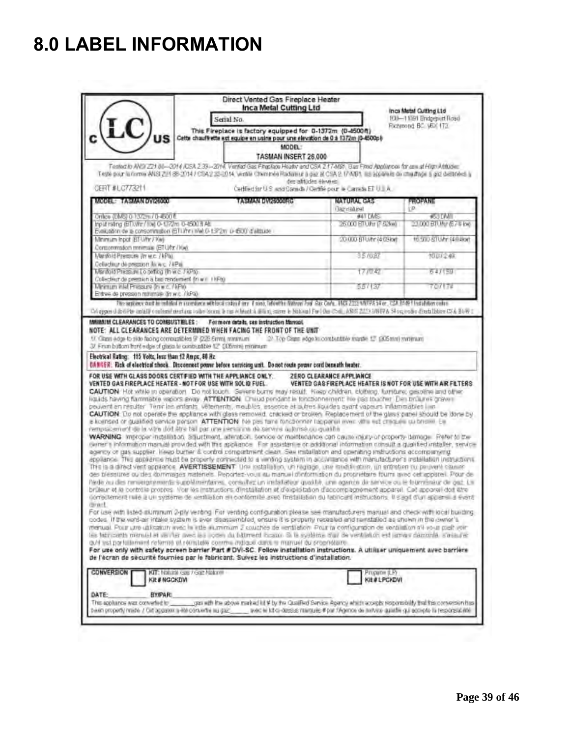# **8.0 LABEL INFORMATION**

|                                                                                                                                                                                                                                                                                                                                                                                                                                                                                                                                                                                                                                                                                                                                                                                                                                                                                                                                                                                                                                                                                                                                                                                                                                                                                                                                                                                                                                                                                                                                                                                                                                                                                                                                                                                                                                                                                                | Direct Vented Gas Fireplace Heater<br>Inca Metal Cutting Ltd<br>Senal No.                                                                                                                                                                       |                                     | Inca Metal Culting Ltd<br>100-11091 Bridgeport Road<br>Richmond BC V6X 173 |  |  |
|------------------------------------------------------------------------------------------------------------------------------------------------------------------------------------------------------------------------------------------------------------------------------------------------------------------------------------------------------------------------------------------------------------------------------------------------------------------------------------------------------------------------------------------------------------------------------------------------------------------------------------------------------------------------------------------------------------------------------------------------------------------------------------------------------------------------------------------------------------------------------------------------------------------------------------------------------------------------------------------------------------------------------------------------------------------------------------------------------------------------------------------------------------------------------------------------------------------------------------------------------------------------------------------------------------------------------------------------------------------------------------------------------------------------------------------------------------------------------------------------------------------------------------------------------------------------------------------------------------------------------------------------------------------------------------------------------------------------------------------------------------------------------------------------------------------------------------------------------------------------------------------------|-------------------------------------------------------------------------------------------------------------------------------------------------------------------------------------------------------------------------------------------------|-------------------------------------|----------------------------------------------------------------------------|--|--|
| $LC)_{us}$<br>This Fireplace is factory equipped for 0-1372m (0-4500ft)<br>Cette chauffrette est equipe en usine pour une elevation de 0 à 1372m (0-4500pl)<br>MODEL:<br>TASMAN INSERT 26,000<br>Tenled to ANDI Z21 86-2014 /DSA 233-2014, Ventad Gas Finantage Header and CSA 217-MB1. Bas Fired Abolivinces for use at High Abbloher                                                                                                                                                                                                                                                                                                                                                                                                                                                                                                                                                                                                                                                                                                                                                                                                                                                                                                                                                                                                                                                                                                                                                                                                                                                                                                                                                                                                                                                                                                                                                         |                                                                                                                                                                                                                                                 |                                     |                                                                            |  |  |
| CERT #LC773211                                                                                                                                                                                                                                                                                                                                                                                                                                                                                                                                                                                                                                                                                                                                                                                                                                                                                                                                                                                                                                                                                                                                                                                                                                                                                                                                                                                                                                                                                                                                                                                                                                                                                                                                                                                                                                                                                 | Teste paur la romme ANSI 224 88-2014 / CSA 2 23-2014, ventile Chemines Radioteur à gaz al CSA 2-17 MB1. Ils appareis de chalthos à paz destrées à<br>des afritades élevels<br>Certified for U.S. and Canada / Certifié pour le Canada ET U.J.A. |                                     |                                                                            |  |  |
| MODEL: TASMAN DVI26000                                                                                                                                                                                                                                                                                                                                                                                                                                                                                                                                                                                                                                                                                                                                                                                                                                                                                                                                                                                                                                                                                                                                                                                                                                                                                                                                                                                                                                                                                                                                                                                                                                                                                                                                                                                                                                                                         | <b>TABIAAN DINPRODUCE</b>                                                                                                                                                                                                                       | <b>NATURAL GAS</b>                  | PROPANE                                                                    |  |  |
| Onlice (DMS) 0 1372m/ 0-600 ft                                                                                                                                                                                                                                                                                                                                                                                                                                                                                                                                                                                                                                                                                                                                                                                                                                                                                                                                                                                                                                                                                                                                                                                                                                                                                                                                                                                                                                                                                                                                                                                                                                                                                                                                                                                                                                                                 |                                                                                                                                                                                                                                                 | <b>Bazinland</b><br><b>941 DARS</b> | i.in<br><b>RSSTART</b>                                                     |  |  |
| Input raing (ED.Wir/106 0-1372m 0-4500 ft Att<br>Evaluation de la consommation (STLINY) INVLD-13/2m D-600 d'altitude                                                                                                                                                                                                                                                                                                                                                                                                                                                                                                                                                                                                                                                                                                                                                                                                                                                                                                                                                                                                                                                                                                                                                                                                                                                                                                                                                                                                                                                                                                                                                                                                                                                                                                                                                                           |                                                                                                                                                                                                                                                 | 26.000 BTU/Hr (F. 62%w)             | 23.000 BTUNP (6.7% kw)                                                     |  |  |
| Minimum Inpot (ET-Umr / Kw)<br>Corponmation member (BTU/hr / Kw).                                                                                                                                                                                                                                                                                                                                                                                                                                                                                                                                                                                                                                                                                                                                                                                                                                                                                                                                                                                                                                                                                                                                                                                                                                                                                                                                                                                                                                                                                                                                                                                                                                                                                                                                                                                                                              |                                                                                                                                                                                                                                                 | 20-000-BTU/hr (4:09kw)              | 16.500-BTUAr (4.9.8kw)                                                     |  |  |
| Marifold Pressure (It w.c. / kPlat                                                                                                                                                                                                                                                                                                                                                                                                                                                                                                                                                                                                                                                                                                                                                                                                                                                                                                                                                                                                                                                                                                                                                                                                                                                                                                                                                                                                                                                                                                                                                                                                                                                                                                                                                                                                                                                             |                                                                                                                                                                                                                                                 | 3.5/0.87                            | 1007248                                                                    |  |  |
| Collection de presson lis w.c. / #Pai.<br>Marifield Pressure to setting this e. / KPs)<br>Collection de pression a bas rendement (in w i + HFa)                                                                                                                                                                                                                                                                                                                                                                                                                                                                                                                                                                                                                                                                                                                                                                                                                                                                                                                                                                                                                                                                                                                                                                                                                                                                                                                                                                                                                                                                                                                                                                                                                                                                                                                                                |                                                                                                                                                                                                                                                 | 173032                              | 64/159                                                                     |  |  |
| Minimum Inlet Pressure (in w.c. / kPle)<br>Entree de pression minimale (in w.c. / kPa)                                                                                                                                                                                                                                                                                                                                                                                                                                                                                                                                                                                                                                                                                                                                                                                                                                                                                                                                                                                                                                                                                                                                                                                                                                                                                                                                                                                                                                                                                                                                                                                                                                                                                                                                                                                                         |                                                                                                                                                                                                                                                 | 557137                              | 707178                                                                     |  |  |
| Collapper didnififts undelifit conformit destinas solor locace is ass et learning alliers, saves in National For [One Collapper Collapper 2014 after A Sing redies direct listen COVA B149 a                                                                                                                                                                                                                                                                                                                                                                                                                                                                                                                                                                                                                                                                                                                                                                                                                                                                                                                                                                                                                                                                                                                                                                                                                                                                                                                                                                                                                                                                                                                                                                                                                                                                                                   | The arpiance that in coldidate a succidate with local colors from 1 more, laboutive fisherar Fool Cas Cada. MICR 2013 MATPA 34 or, CSA 3149 1 Installation codes.                                                                               |                                     |                                                                            |  |  |
|                                                                                                                                                                                                                                                                                                                                                                                                                                                                                                                                                                                                                                                                                                                                                                                                                                                                                                                                                                                                                                                                                                                                                                                                                                                                                                                                                                                                                                                                                                                                                                                                                                                                                                                                                                                                                                                                                                | peuvent en résulter. Tienir les enfants, véternents, meublis, essence et autres liquides avant vapeurs inflammables limi                                                                                                                        |                                     |                                                                            |  |  |
| CAUTION: Do not operate the appliance with glass removed, cracked or broken. Replacement of the glass panel should be done by<br>a licensed or qualified service person. ATTENTION The pas fare functionner happened even with est cheques cu bristen. Ea<br>remptacement de la vitre dot âtre tail par une personne de servire autorisé qu qualité.<br>WARNING Improper installation, Structment, alteration, service or maintenance can cause injury or property damage. Refer to the<br>winer a information manual provided with this appliance. Ear assistant e or additional information consult a qualified installer, service<br>agency or gas supplier. Keep burner & control compartment clean. See installation and operating instructions accomparising<br>appliance. This appliance must be properly competed to a vimbog system in accuraging with manufacturer's installation instructions.<br>The is a direct vent apprance. AVERTISSEMENT: Une lostaliation, un ragiage, une moduli stute, un entretien ou perswerk causer<br>des blessures au des dommages nateriels. Peportez-vous au manuel conformation du propriétaire fourni avec cet apparei. Pour de<br>Pade au des ninieronismints surplémentaires, consultat un installation qualità, une agence de service ou le fournismiur de gaz. La<br>brükur et le controle propres. Voir les instructions d'installation et d'exploitation d'eccompagnement appareil. Cet appareil doit être<br>correctement rule a un systeme de xentilation en conformite avec thristallabon du fabricard instructions. It sand d'un appare la system<br>There<br>For use with listed stummum 2-ply veriting. For venting configuration please see manufacturers manual and check with local building.<br>codes. If the verd-air intake system is ever disassembled, ensure it is property resealed and reinstalled as shown in the owner's |                                                                                                                                                                                                                                                 |                                     |                                                                            |  |  |
| menual. Pour une ublicaturi avec la inte auminium 2 couches de verblefion. Pour la configuration de ventilitam s'il vour piet voir<br>les fabricants manuel et ve ifter avec les liçoen du bâtiment locaux. Si le système d'uil de ventifation est jameir damonté s'assurér<br>auti est partilliament referma et remitate comme indiale dans la manuel du propriéteire.<br>For use only with safety screen barrier Part #DVI-SC. Follow installation instructions. A utiliser uniquement avec barrière<br>de l'écran de sécurité fournies par le fabricant. Suivez les instructions d'installation.<br>CONVERSION<br>KIT: Malurai cas / Goz Malurei<br><b>KIt#NGCKDVI</b>                                                                                                                                                                                                                                                                                                                                                                                                                                                                                                                                                                                                                                                                                                                                                                                                                                                                                                                                                                                                                                                                                                                                                                                                                      |                                                                                                                                                                                                                                                 | Propage (LP)<br><b>KIL#LPCKDVI</b>  |                                                                            |  |  |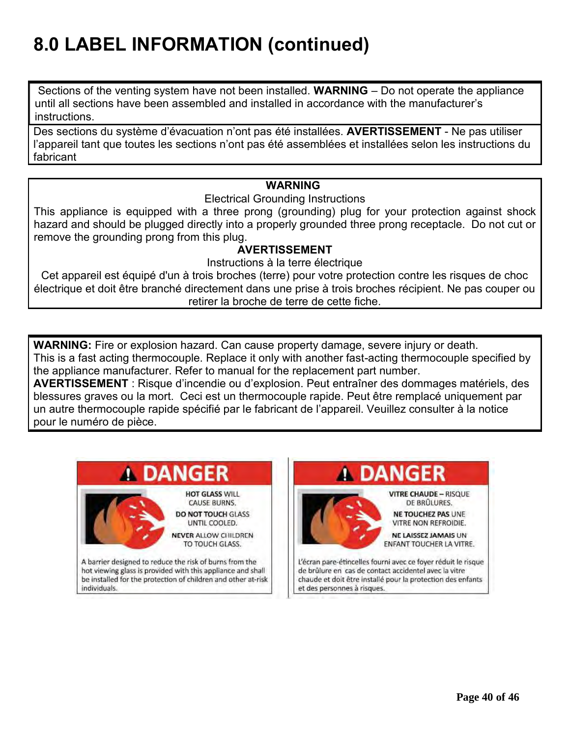# **8.0 LABEL INFORMATION (continued)**

Sections of the venting system have not been installed. **WARNING** – Do not operate the appliance until all sections have been assembled and installed in accordance with the manufacturer's instructions.

Des sections du système d'évacuation n'ont pas été installées. **AVERTISSEMENT** - Ne pas utiliser l'appareil tant que toutes les sections n'ont pas été assemblées et installées selon les instructions du fabricant

#### **WARNING**

Electrical Grounding Instructions

This appliance is equipped with a three prong (grounding) plug for your protection against shock hazard and should be plugged directly into a properly grounded three prong receptacle. Do not cut or remove the grounding prong from this plug.

#### **AVERTISSEMENT**

Instructions à la terre électrique

Cet appareil est équipé d'un à trois broches (terre) pour votre protection contre les risques de choc électrique et doit être branché directement dans une prise à trois broches récipient. Ne pas couper ou retirer la broche de terre de cette fiche.

**WARNING:** Fire or explosion hazard. Can cause property damage, severe injury or death. This is a fast acting thermocouple. Replace it only with another fast-acting thermocouple specified by the appliance manufacturer. Refer to manual for the replacement part number.

**AVERTISSEMENT** : Risque d'incendie ou d'explosion. Peut entraîner des dommages matériels, des blessures graves ou la mort. Ceci est un thermocouple rapide. Peut être remplacé uniquement par un autre thermocouple rapide spécifié par le fabricant de l'appareil. Veuillez consulter à la notice pour le numéro de pièce.



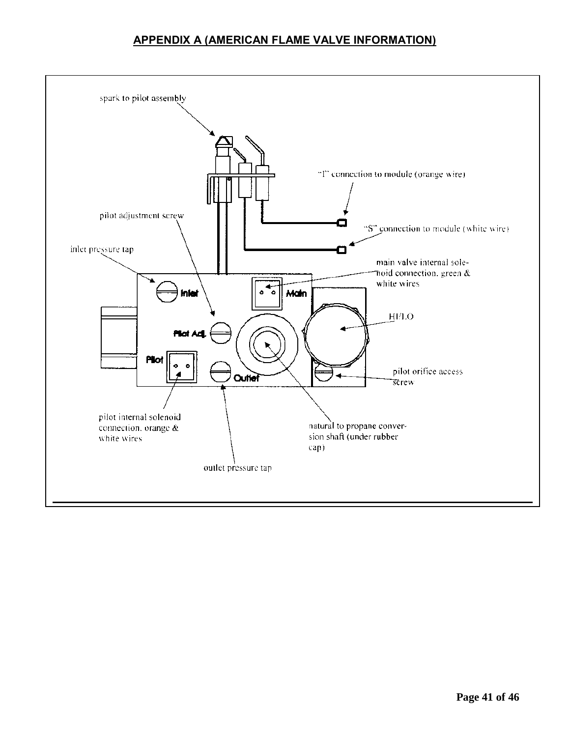#### **APPENDIX A (AMERICAN FLAME VALVE INFORMATION)**

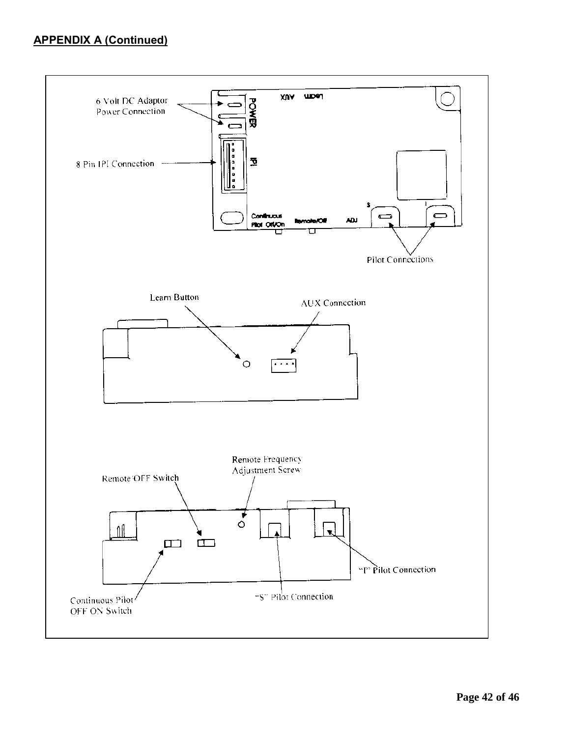#### **APPENDIX A (Continued)**

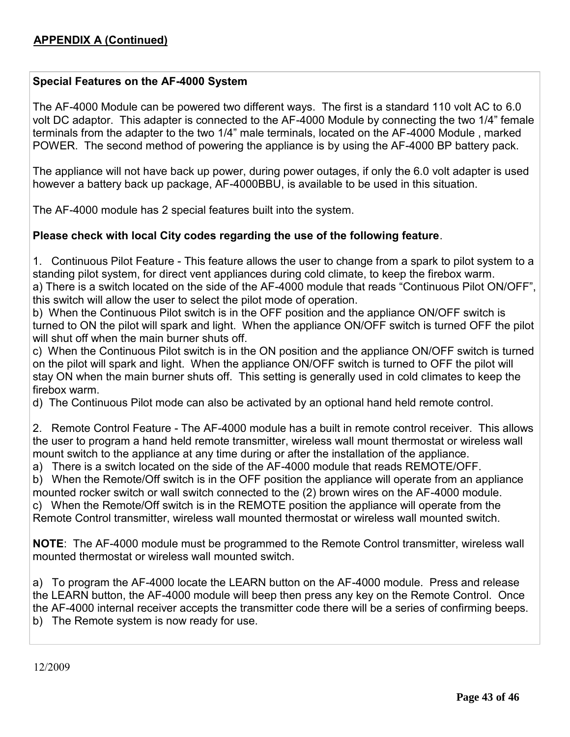#### **Special Features on the AF-4000 System**

The AF-4000 Module can be powered two different ways. The first is a standard 110 volt AC to 6.0 volt DC adaptor. This adapter is connected to the AF-4000 Module by connecting the two 1/4" female terminals from the adapter to the two 1/4" male terminals, located on the AF-4000 Module , marked POWER. The second method of powering the appliance is by using the AF-4000 BP battery pack.

The appliance will not have back up power, during power outages, if only the 6.0 volt adapter is used however a battery back up package, AF-4000BBU, is available to be used in this situation.

The AF-4000 module has 2 special features built into the system.

#### **Please check with local City codes regarding the use of the following feature**.

1. Continuous Pilot Feature - This feature allows the user to change from a spark to pilot system to a standing pilot system, for direct vent appliances during cold climate, to keep the firebox warm. a) There is a switch located on the side of the AF-4000 module that reads "Continuous Pilot ON/OFF", this switch will allow the user to select the pilot mode of operation.

b) When the Continuous Pilot switch is in the OFF position and the appliance ON/OFF switch is turned to ON the pilot will spark and light. When the appliance ON/OFF switch is turned OFF the pilot will shut off when the main burner shuts off.

c) When the Continuous Pilot switch is in the ON position and the appliance ON/OFF switch is turned on the pilot will spark and light. When the appliance ON/OFF switch is turned to OFF the pilot will stay ON when the main burner shuts off. This setting is generally used in cold climates to keep the firebox warm.

d) The Continuous Pilot mode can also be activated by an optional hand held remote control.

2. Remote Control Feature - The AF-4000 module has a built in remote control receiver. This allows the user to program a hand held remote transmitter, wireless wall mount thermostat or wireless wall mount switch to the appliance at any time during or after the installation of the appliance.

a) There is a switch located on the side of the AF-4000 module that reads REMOTE/OFF.

b) When the Remote/Off switch is in the OFF position the appliance will operate from an appliance mounted rocker switch or wall switch connected to the (2) brown wires on the AF-4000 module. c) When the Remote/Off switch is in the REMOTE position the appliance will operate from the Remote Control transmitter, wireless wall mounted thermostat or wireless wall mounted switch.

**NOTE**: The AF-4000 module must be programmed to the Remote Control transmitter, wireless wall mounted thermostat or wireless wall mounted switch.

a) To program the AF-4000 locate the LEARN button on the AF-4000 module. Press and release the LEARN button, the AF-4000 module will beep then press any key on the Remote Control. Once the AF-4000 internal receiver accepts the transmitter code there will be a series of confirming beeps. b) The Remote system is now ready for use.

12/2009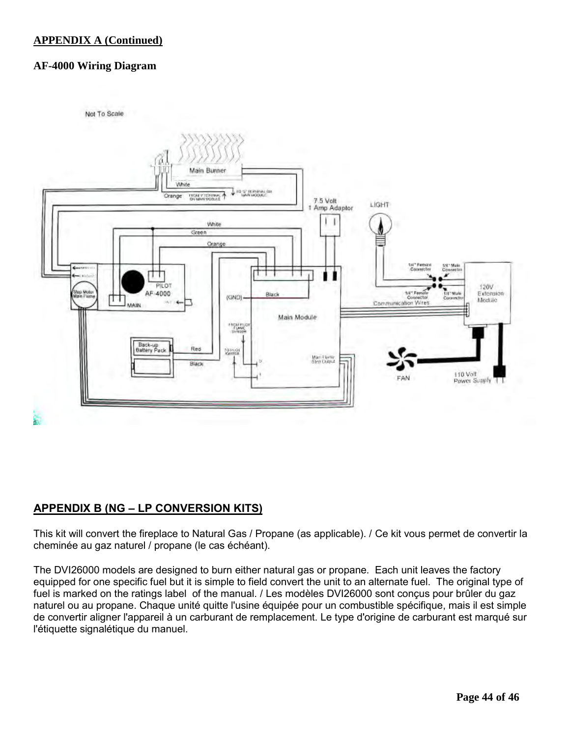#### **APPENDIX A (Continued)**

#### **AF-4000 Wiring Diagram**



#### **APPENDIX B (NG – LP CONVERSION KITS)**

This kit will convert the fireplace to Natural Gas / Propane (as applicable). / Ce kit vous permet de convertir la cheminée au gaz naturel / propane (le cas échéant).

The DVI26000 models are designed to burn either natural gas or propane. Each unit leaves the factory equipped for one specific fuel but it is simple to field convert the unit to an alternate fuel. The original type of fuel is marked on the ratings label of the manual. / Les modèles DVI26000 sont conçus pour brûler du gaz naturel ou au propane. Chaque unité quitte l'usine équipée pour un combustible spécifique, mais il est simple de convertir aligner l'appareil à un carburant de remplacement. Le type d'origine de carburant est marqué sur l'étiquette signalétique du manuel.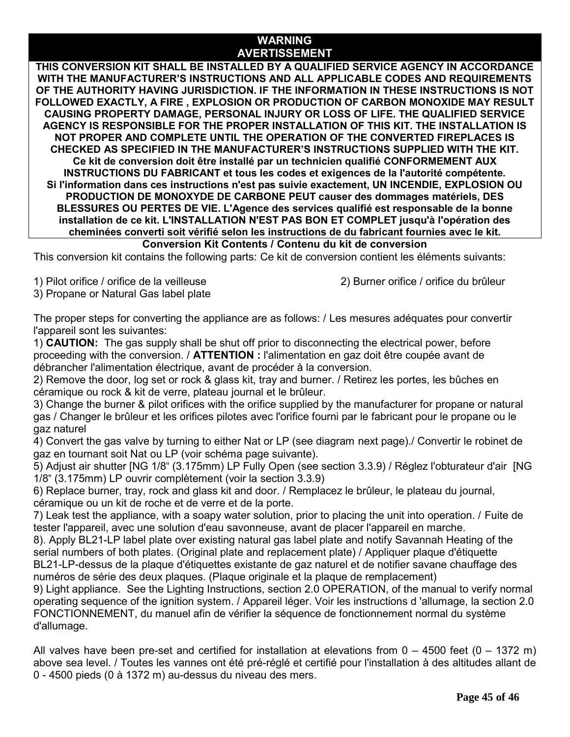#### **WARNING AVERTISSEMENT**

**THIS CONVERSION KIT SHALL BE INSTALLED BY A QUALIFIED SERVICE AGENCY IN ACCORDANCE WITH THE MANUFACTURER'S INSTRUCTIONS AND ALL APPLICABLE CODES AND REQUIREMENTS OF THE AUTHORITY HAVING JURISDICTION. IF THE INFORMATION IN THESE INSTRUCTIONS IS NOT FOLLOWED EXACTLY, A FIRE , EXPLOSION OR PRODUCTION OF CARBON MONOXIDE MAY RESULT CAUSING PROPERTY DAMAGE, PERSONAL INJURY OR LOSS OF LIFE. THE QUALIFIED SERVICE AGENCY IS RESPONSIBLE FOR THE PROPER INSTALLATION OF THIS KIT. THE INSTALLATION IS NOT PROPER AND COMPLETE UNTIL THE OPERATION OF THE CONVERTED FIREPLACES IS CHECKED AS SPECIFIED IN THE MANUFACTURER'S INSTRUCTIONS SUPPLIED WITH THE KIT. Ce kit de conversion doit être installé par un technicien qualifié CONFORMEMENT AUX INSTRUCTIONS DU FABRICANT et tous les codes et exigences de la l'autorité compétente. Si l'information dans ces instructions n'est pas suivie exactement, UN INCENDIE, EXPLOSION OU PRODUCTION DE MONOXYDE DE CARBONE PEUT causer des dommages matériels, DES BLESSURES OU PERTES DE VIE. L'Agence des services qualifié est responsable de la bonne installation de ce kit. L'INSTALLATION N'EST PAS BON ET COMPLET jusqu'à l'opération des cheminées converti soit vérifié selon les instructions de du fabricant fournies avec le kit.**

#### **Conversion Kit Contents / Contenu du kit de conversion**

This conversion kit contains the following parts: Ce kit de conversion contient les éléments suivants:

1) Pilot orifice / orifice de la veilleuse 2) Burner orifice / orifice du brûleur

3) Propane or Natural Gas label plate

The proper steps for converting the appliance are as follows: / Les mesures adéquates pour convertir l'appareil sont les suivantes:

1) **CAUTION:** The gas supply shall be shut off prior to disconnecting the electrical power, before proceeding with the conversion. / **ATTENTION :** l'alimentation en gaz doit être coupée avant de débrancher l'alimentation électrique, avant de procéder à la conversion.

2) Remove the door, log set or rock & glass kit, tray and burner. / Retirez les portes, les bûches en céramique ou rock & kit de verre, plateau journal et le brûleur.

3) Change the burner & pilot orifices with the orifice supplied by the manufacturer for propane or natural gas / Changer le brûleur et les orifices pilotes avec l'orifice fourni par le fabricant pour le propane ou le gaz naturel

4) Convert the gas valve by turning to either Nat or LP (see diagram next page)./ Convertir le robinet de gaz en tournant soit Nat ou LP (voir schéma page suivante).

5) Adjust air shutter [NG 1/8" (3.175mm) LP Fully Open (see section 3.3.9) / Réglez l'obturateur d'air [NG 1/8" (3.175mm) LP ouvrir complètement (voir la section 3.3.9)

6) Replace burner, tray, rock and glass kit and door. / Remplacez le brûleur, le plateau du journal, céramique ou un kit de roche et de verre et de la porte.

7) Leak test the appliance, with a soapy water solution, prior to placing the unit into operation. / Fuite de tester l'appareil, avec une solution d'eau savonneuse, avant de placer l'appareil en marche.

8). Apply BL21-LP label plate over existing natural gas label plate and notify Savannah Heating of the serial numbers of both plates. (Original plate and replacement plate) / Appliquer plaque d'étiquette BL21-LP-dessus de la plaque d'étiquettes existante de gaz naturel et de notifier savane chauffage des numéros de série des deux plaques. (Plaque originale et la plaque de remplacement)

9) Light appliance. See the Lighting Instructions, section 2.0 OPERATION, of the manual to verify normal operating sequence of the ignition system. / Appareil léger. Voir les instructions d 'allumage, la section 2.0 FONCTIONNEMENT, du manuel afin de vérifier la séquence de fonctionnement normal du système d'allumage.

All valves have been pre-set and certified for installation at elevations from  $0 - 4500$  feet (0 – 1372 m) above sea level. / Toutes les vannes ont été pré-réglé et certifié pour l'installation à des altitudes allant de 0 - 4500 pieds (0 à 1372 m) au-dessus du niveau des mers.